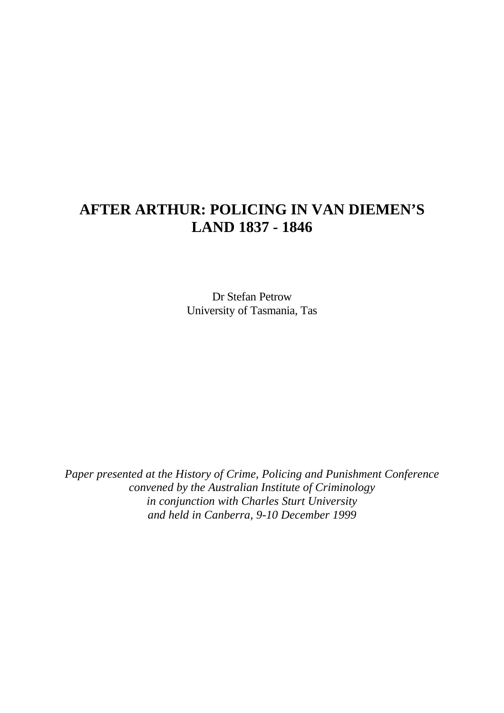# **AFTER ARTHUR: POLICING IN VAN DIEMEN'S LAND 1837 - 1846**

Dr Stefan Petrow University of Tasmania, Tas

*Paper presented at the History of Crime, Policing and Punishment Conference convened by the Australian Institute of Criminology in conjunction with Charles Sturt University and held in Canberra, 9-10 December 1999*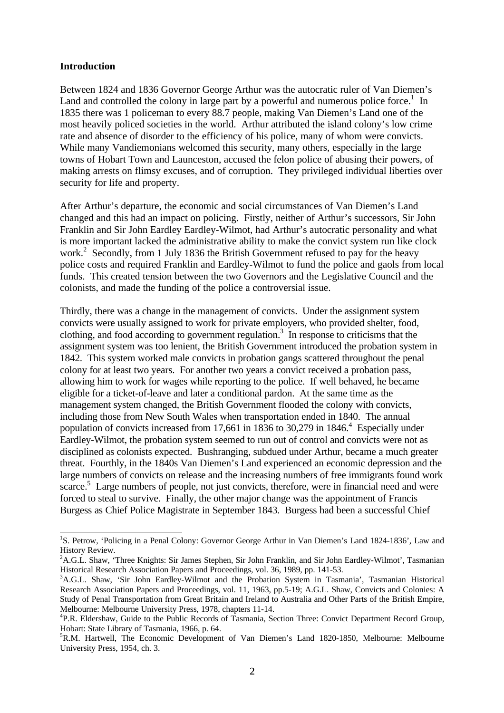#### **Introduction**

l

Between 1824 and 1836 Governor George Arthur was the autocratic ruler of Van Diemen's Land and controlled the colony in large part by a powerful and numerous police force.<sup>1</sup> In 1835 there was 1 policeman to every 88.7 people, making Van Diemen's Land one of the most heavily policed societies in the world. Arthur attributed the island colony's low crime rate and absence of disorder to the efficiency of his police, many of whom were convicts. While many Vandiemonians welcomed this security, many others, especially in the large towns of Hobart Town and Launceston, accused the felon police of abusing their powers, of making arrests on flimsy excuses, and of corruption. They privileged individual liberties over security for life and property.

After Arthur's departure, the economic and social circumstances of Van Diemen's Land changed and this had an impact on policing. Firstly, neither of Arthur's successors, Sir John Franklin and Sir John Eardley Eardley-Wilmot, had Arthur's autocratic personality and what is more important lacked the administrative ability to make the convict system run like clock work.<sup>2</sup> Secondly, from 1 July 1836 the British Government refused to pay for the heavy police costs and required Franklin and Eardley-Wilmot to fund the police and gaols from local funds. This created tension between the two Governors and the Legislative Council and the colonists, and made the funding of the police a controversial issue.

Thirdly, there was a change in the management of convicts. Under the assignment system convicts were usually assigned to work for private employers, who provided shelter, food, clothing, and food according to government regulation.<sup>3</sup> In response to criticisms that the assignment system was too lenient, the British Government introduced the probation system in 1842. This system worked male convicts in probation gangs scattered throughout the penal colony for at least two years. For another two years a convict received a probation pass, allowing him to work for wages while reporting to the police. If well behaved, he became eligible for a ticket-of-leave and later a conditional pardon. At the same time as the management system changed, the British Government flooded the colony with convicts, including those from New South Wales when transportation ended in 1840. The annual population of convicts increased from 17,661 in 1836 to 30,279 in 1846.<sup>4</sup> Especially under Eardley-Wilmot, the probation system seemed to run out of control and convicts were not as disciplined as colonists expected. Bushranging, subdued under Arthur, became a much greater threat. Fourthly, in the 1840s Van Diemen's Land experienced an economic depression and the large numbers of convicts on release and the increasing numbers of free immigrants found work scarce.<sup>5</sup> Large numbers of people, not just convicts, therefore, were in financial need and were forced to steal to survive. Finally, the other major change was the appointment of Francis Burgess as Chief Police Magistrate in September 1843. Burgess had been a successful Chief

<sup>&</sup>lt;sup>1</sup>S. Petrow, 'Policing in a Penal Colony: Governor George Arthur in Van Diemen's Land 1824-1836', Law and History Review.

<sup>&</sup>lt;sup>2</sup>A.G.L. Shaw, 'Three Knights: Sir James Stephen, Sir John Franklin, and Sir John Eardley-Wilmot', Tasmanian Historical Research Association Papers and Proceedings, vol. 36, 1989, pp. 141-53.

<sup>&</sup>lt;sup>3</sup>A.G.L. Shaw, 'Sir John Eardley-Wilmot and the Probation System in Tasmania', Tasmanian Historical Research Association Papers and Proceedings, vol. 11, 1963, pp.5-19; A.G.L. Shaw, Convicts and Colonies: A Study of Penal Transportation from Great Britain and Ireland to Australia and Other Parts of the British Empire, Melbourne: Melbourne University Press, 1978, chapters 11-14.

<sup>&</sup>lt;sup>4</sup>P.R. Eldershaw, Guide to the Public Records of Tasmania, Section Three: Convict Department Record Group, Hobart: State Library of Tasmania, 1966, p. 64.

<sup>5</sup>R.M. Hartwell, The Economic Development of Van Diemen's Land 1820-1850, Melbourne: Melbourne University Press, 1954, ch. 3.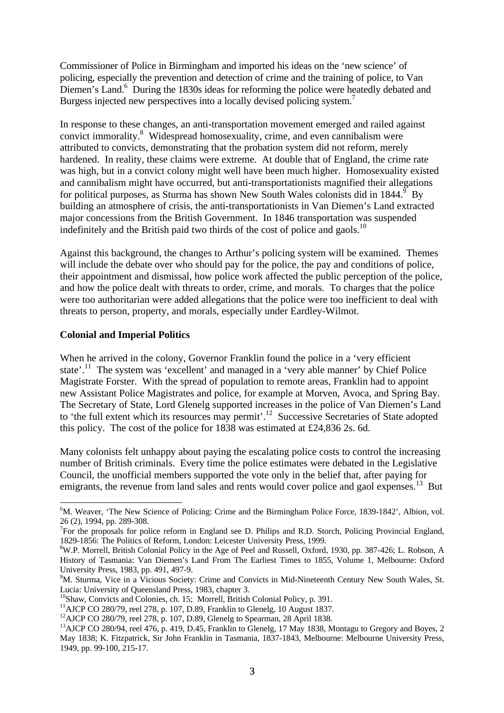Commissioner of Police in Birmingham and imported his ideas on the 'new science' of policing, especially the prevention and detection of crime and the training of police, to Van Diemen's Land.<sup>6</sup> During the 1830s ideas for reforming the police were heatedly debated and Burgess injected new perspectives into a locally devised policing system.<sup>7</sup>

In response to these changes, an anti-transportation movement emerged and railed against convict immorality.<sup>8</sup> Widespread homosexuality, crime, and even cannibalism were attributed to convicts, demonstrating that the probation system did not reform, merely hardened. In reality, these claims were extreme. At double that of England, the crime rate was high, but in a convict colony might well have been much higher. Homosexuality existed and cannibalism might have occurred, but anti-transportationists magnified their allegations for political purposes, as Sturma has shown New South Wales colonists did in 1844.  $\frac{9}{5}$  By building an atmosphere of crisis, the anti-transportationists in Van Diemen's Land extracted major concessions from the British Government. In 1846 transportation was suspended indefinitely and the British paid two thirds of the cost of police and gaols.<sup>10</sup>

Against this background, the changes to Arthur's policing system will be examined. Themes will include the debate over who should pay for the police, the pay and conditions of police, their appointment and dismissal, how police work affected the public perception of the police, and how the police dealt with threats to order, crime, and morals. To charges that the police were too authoritarian were added allegations that the police were too inefficient to deal with threats to person, property, and morals, especially under Eardley-Wilmot.

## **Colonial and Imperial Politics**

When he arrived in the colony, Governor Franklin found the police in a 'very efficient state'.<sup>11</sup> The system was 'excellent' and managed in a 'very able manner' by Chief Police Magistrate Forster. With the spread of population to remote areas, Franklin had to appoint new Assistant Police Magistrates and police, for example at Morven, Avoca, and Spring Bay. The Secretary of State, Lord Glenelg supported increases in the police of Van Diemen's Land to 'the full extent which its resources may permit'.<sup>12</sup> Successive Secretaries of State adopted this policy. The cost of the police for 1838 was estimated at £24,836 2s. 6d.

Many colonists felt unhappy about paying the escalating police costs to control the increasing number of British criminals. Every time the police estimates were debated in the Legislative Council, the unofficial members supported the vote only in the belief that, after paying for emigrants, the revenue from land sales and rents would cover police and gaol expenses.<sup>13</sup> But

<sup>-</sup> ${}^{6}$ M. Weaver, 'The New Science of Policing: Crime and the Birmingham Police Force, 1839-1842', Albion, vol. 26 (2), 1994, pp. 289-308.

<sup>&</sup>lt;sup>7</sup>For the proposals for police reform in England see D. Philips and R.D. Storch, Policing Provincial England, 1829-1856: The Politics of Reform, London: Leicester University Press, 1999.

<sup>8</sup>W.P. Morrell, British Colonial Policy in the Age of Peel and Russell, Oxford, 1930, pp. 387-426; L. Robson, A History of Tasmania: Van Diemen's Land From The Earliest Times to 1855, Volume 1, Melbourne: Oxford University Press, 1983, pp. 491, 497-9.

<sup>9</sup>M. Sturma, Vice in a Vicious Society: Crime and Convicts in Mid-Nineteenth Century New South Wales, St. Lucia: University of Queensland Press, 1983, chapter 3.

<sup>&</sup>lt;sup>10</sup>Shaw, Convicts and Colonies, ch. 15; Morrell, British Colonial Policy, p. 391.

 $11$ AJCP CO 280/79, reel 278, p. 107, D.89, Franklin to Glenelg, 10 August 1837.

<sup>&</sup>lt;sup>12</sup>AJCP CO 280/79, reel 278, p. 107, D.89, Glenelg to Spearman, 28 April 1838.

<sup>&</sup>lt;sup>13</sup>AJCP CO 280/94, reel 476, p. 419, D.45, Franklin to Glenelg, 17 May 1838, Montagu to Gregory and Boyes, 2 May 1838; K. Fitzpatrick, Sir John Franklin in Tasmania, 1837-1843, Melbourne: Melbourne University Press, 1949, pp. 99-100, 215-17.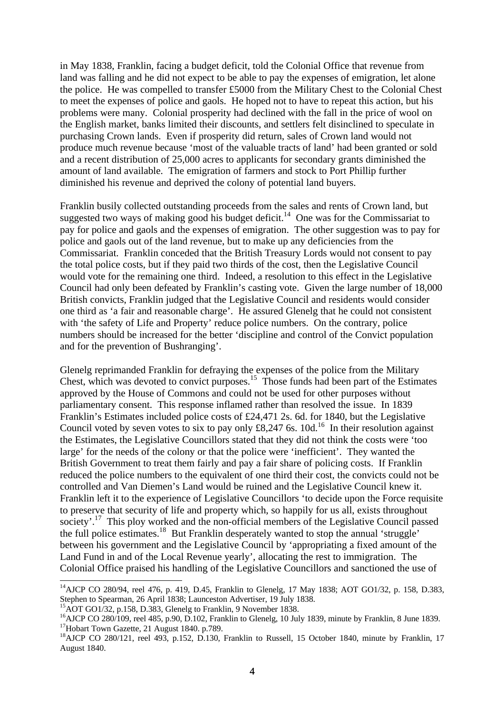in May 1838, Franklin, facing a budget deficit, told the Colonial Office that revenue from land was falling and he did not expect to be able to pay the expenses of emigration, let alone the police. He was compelled to transfer £5000 from the Military Chest to the Colonial Chest to meet the expenses of police and gaols. He hoped not to have to repeat this action, but his problems were many. Colonial prosperity had declined with the fall in the price of wool on the English market, banks limited their discounts, and settlers felt disinclined to speculate in purchasing Crown lands. Even if prosperity did return, sales of Crown land would not produce much revenue because 'most of the valuable tracts of land' had been granted or sold and a recent distribution of 25,000 acres to applicants for secondary grants diminished the amount of land available. The emigration of farmers and stock to Port Phillip further diminished his revenue and deprived the colony of potential land buyers.

Franklin busily collected outstanding proceeds from the sales and rents of Crown land, but suggested two ways of making good his budget deficit.<sup>14</sup> One was for the Commissariat to pay for police and gaols and the expenses of emigration. The other suggestion was to pay for police and gaols out of the land revenue, but to make up any deficiencies from the Commissariat. Franklin conceded that the British Treasury Lords would not consent to pay the total police costs, but if they paid two thirds of the cost, then the Legislative Council would vote for the remaining one third. Indeed, a resolution to this effect in the Legislative Council had only been defeated by Franklin's casting vote. Given the large number of 18,000 British convicts, Franklin judged that the Legislative Council and residents would consider one third as 'a fair and reasonable charge'. He assured Glenelg that he could not consistent with 'the safety of Life and Property' reduce police numbers. On the contrary, police numbers should be increased for the better 'discipline and control of the Convict population and for the prevention of Bushranging'.

Glenelg reprimanded Franklin for defraying the expenses of the police from the Military Chest, which was devoted to convict purposes.<sup>15</sup> Those funds had been part of the Estimates approved by the House of Commons and could not be used for other purposes without parliamentary consent. This response inflamed rather than resolved the issue. In 1839 Franklin's Estimates included police costs of £24,471 2s. 6d. for 1840, but the Legislative Council voted by seven votes to six to pay only  $\pounds8,247$  6s. 10d.<sup>16</sup> In their resolution against the Estimates, the Legislative Councillors stated that they did not think the costs were 'too large' for the needs of the colony or that the police were 'inefficient'. They wanted the British Government to treat them fairly and pay a fair share of policing costs. If Franklin reduced the police numbers to the equivalent of one third their cost, the convicts could not be controlled and Van Diemen's Land would be ruined and the Legislative Council knew it. Franklin left it to the experience of Legislative Councillors 'to decide upon the Force requisite to preserve that security of life and property which, so happily for us all, exists throughout society'.<sup>17</sup> This ploy worked and the non-official members of the Legislative Council passed the full police estimates.<sup>18</sup> But Franklin desperately wanted to stop the annual 'struggle' between his government and the Legislative Council by 'appropriating a fixed amount of the Land Fund in and of the Local Revenue yearly', allocating the rest to immigration. The Colonial Office praised his handling of the Legislative Councillors and sanctioned the use of

l

<sup>&</sup>lt;sup>14</sup>AJCP CO 280/94, reel 476, p. 419, D.45, Franklin to Glenelg, 17 May 1838; AOT GO1/32, p. 158, D.383, Stephen to Spearman, 26 April 1838; Launceston Advertiser, 19 July 1838.

<sup>&</sup>lt;sup>15</sup>AOT GO1/32, p.158, D.383, Glenelg to Franklin, 9 November 1838.

<sup>&</sup>lt;sup>16</sup>AJCP CO 280/109, reel 485, p.90, D.102, Franklin to Glenelg, 10 July 1839, minute by Franklin, 8 June 1839. <sup>17</sup>Hobart Town Gazette, 21 August 1840. p.789.

<sup>&</sup>lt;sup>18</sup>AJCP CO 280/121, reel 493, p.152, D.130, Franklin to Russell, 15 October 1840, minute by Franklin, 17 August 1840.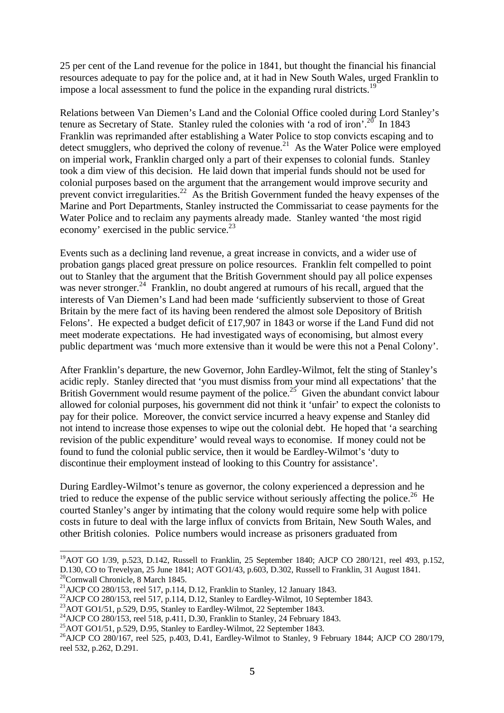25 per cent of the Land revenue for the police in 1841, but thought the financial his financial resources adequate to pay for the police and, at it had in New South Wales, urged Franklin to impose a local assessment to fund the police in the expanding rural districts.<sup>19</sup>

Relations between Van Diemen's Land and the Colonial Office cooled during Lord Stanley's tenure as Secretary of State. Stanley ruled the colonies with 'a rod of iron'.<sup>20</sup> In 1843 Franklin was reprimanded after establishing a Water Police to stop convicts escaping and to detect smugglers, who deprived the colony of revenue.<sup>21</sup> As the Water Police were employed on imperial work, Franklin charged only a part of their expenses to colonial funds. Stanley took a dim view of this decision. He laid down that imperial funds should not be used for colonial purposes based on the argument that the arrangement would improve security and prevent convict irregularities.<sup>22</sup> As the British Government funded the heavy expenses of the Marine and Port Departments, Stanley instructed the Commissariat to cease payments for the Water Police and to reclaim any payments already made. Stanley wanted 'the most rigid economy' exercised in the public service. $^{23}$ 

Events such as a declining land revenue, a great increase in convicts, and a wider use of probation gangs placed great pressure on police resources. Franklin felt compelled to point out to Stanley that the argument that the British Government should pay all police expenses was never stronger.<sup>24</sup> Franklin, no doubt angered at rumours of his recall, argued that the interests of Van Diemen's Land had been made 'sufficiently subservient to those of Great Britain by the mere fact of its having been rendered the almost sole Depository of British Felons'. He expected a budget deficit of £17,907 in 1843 or worse if the Land Fund did not meet moderate expectations. He had investigated ways of economising, but almost every public department was 'much more extensive than it would be were this not a Penal Colony'.

After Franklin's departure, the new Governor, John Eardley-Wilmot, felt the sting of Stanley's acidic reply. Stanley directed that 'you must dismiss from your mind all expectations' that the British Government would resume payment of the police.<sup>25</sup> Given the abundant convict labour allowed for colonial purposes, his government did not think it 'unfair' to expect the colonists to pay for their police. Moreover, the convict service incurred a heavy expense and Stanley did not intend to increase those expenses to wipe out the colonial debt. He hoped that 'a searching revision of the public expenditure' would reveal ways to economise. If money could not be found to fund the colonial public service, then it would be Eardley-Wilmot's 'duty to discontinue their employment instead of looking to this Country for assistance'.

During Eardley-Wilmot's tenure as governor, the colony experienced a depression and he tried to reduce the expense of the public service without seriously affecting the police.<sup>26</sup> He courted Stanley's anger by intimating that the colony would require some help with police costs in future to deal with the large influx of convicts from Britain, New South Wales, and other British colonies. Police numbers would increase as prisoners graduated from

 $^{19}$ AOT GO 1/39, p.523, D.142, Russell to Franklin, 25 September 1840; AJCP CO 280/121, reel 493, p.152, D.130, CO to Trevelyan, 25 June 1841; AOT GO1/43, p.603, D.302, Russell to Franklin, 31 August 1841. <sup>20</sup>Cornwall Chronicle, 8 March 1845.

<sup>&</sup>lt;sup>21</sup>AJCP CO 280/153, reel 517, p.114, D.12, Franklin to Stanley, 12 January 1843.

 $^{22}$ AJCP CO 280/153, reel 517, p.114, D.12, Stanley to Eardley-Wilmot, 10 September 1843.

 $^{23}$ AOT GO1/51, p.529, D.95, Stanley to Eardley-Wilmot, 22 September 1843.

 $^{24}$ AJCP CO 280/153, reel 518, p.411, D.30, Franklin to Stanley, 24 February 1843.

 $^{25}$ AOT GO1/51, p.529, D.95, Stanley to Eardley-Wilmot, 22 September 1843.

<sup>&</sup>lt;sup>26</sup>AJCP CO 280/167, reel 525, p.403, D.41, Eardley-Wilmot to Stanley, 9 February 1844; AJCP CO 280/179, reel 532, p.262, D.291.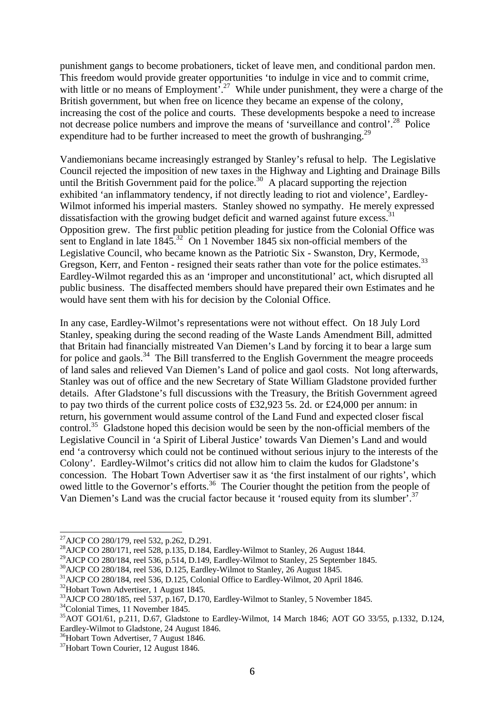punishment gangs to become probationers, ticket of leave men, and conditional pardon men. This freedom would provide greater opportunities 'to indulge in vice and to commit crime, with little or no means of Employment<sup>7.27</sup> While under punishment, they were a charge of the British government, but when free on licence they became an expense of the colony, increasing the cost of the police and courts. These developments bespoke a need to increase not decrease police numbers and improve the means of 'surveillance and control'.<sup>28</sup> Police expenditure had to be further increased to meet the growth of bushranging.<sup>29</sup>

Vandiemonians became increasingly estranged by Stanley's refusal to help. The Legislative Council rejected the imposition of new taxes in the Highway and Lighting and Drainage Bills until the British Government paid for the police.<sup>30</sup> A placard supporting the rejection exhibited 'an inflammatory tendency, if not directly leading to riot and violence', Eardley-Wilmot informed his imperial masters. Stanley showed no sympathy. He merely expressed dissatisfaction with the growing budget deficit and warned against future excess.<sup>31</sup> Opposition grew. The first public petition pleading for justice from the Colonial Office was sent to England in late 1845.<sup>32</sup> On 1 November 1845 six non-official members of the Legislative Council, who became known as the Patriotic Six - Swanston, Dry, Kermode, Gregson, Kerr, and Fenton - resigned their seats rather than vote for the police estimates.<sup>33</sup> Eardley-Wilmot regarded this as an 'improper and unconstitutional' act, which disrupted all public business. The disaffected members should have prepared their own Estimates and he would have sent them with his for decision by the Colonial Office.

In any case, Eardley-Wilmot's representations were not without effect. On 18 July Lord Stanley, speaking during the second reading of the Waste Lands Amendment Bill, admitted that Britain had financially mistreated Van Diemen's Land by forcing it to bear a large sum for police and gaols.<sup>34</sup> The Bill transferred to the English Government the meagre proceeds of land sales and relieved Van Diemen's Land of police and gaol costs. Not long afterwards, Stanley was out of office and the new Secretary of State William Gladstone provided further details. After Gladstone's full discussions with the Treasury, the British Government agreed to pay two thirds of the current police costs of £32,923 5s. 2d. or £24,000 per annum: in return, his government would assume control of the Land Fund and expected closer fiscal control.<sup>35</sup> Gladstone hoped this decision would be seen by the non-official members of the Legislative Council in 'a Spirit of Liberal Justice' towards Van Diemen's Land and would end 'a controversy which could not be continued without serious injury to the interests of the Colony'. Eardley-Wilmot's critics did not allow him to claim the kudos for Gladstone's concession. The Hobart Town Advertiser saw it as 'the first instalment of our rights', which owed little to the Governor's efforts.<sup>36</sup> The Courier thought the petition from the people of Van Diemen's Land was the crucial factor because it 'roused equity from its slumber'.<sup>37</sup>

l

<sup>&</sup>lt;sup>27</sup>AJCP CO 280/179, reel 532, p.262, D.291.

<sup>&</sup>lt;sup>28</sup>AJCP CO 280/171, reel 528, p.135, D.184, Eardley-Wilmot to Stanley, 26 August 1844.

<sup>&</sup>lt;sup>29</sup>AJCP CO 280/184, reel 536, p.514, D.149, Eardley-Wilmot to Stanley, 25 September 1845.

<sup>30</sup>AJCP CO 280/184, reel 536, D.125, Eardley-Wilmot to Stanley, 26 August 1845.

<sup>31</sup>AJCP CO 280/184, reel 536, D.125, Colonial Office to Eardley-Wilmot, 20 April 1846.

<sup>32</sup>Hobart Town Advertiser, 1 August 1845.

<sup>&</sup>lt;sup>33</sup>AJCP CO 280/185, reel 537, p.167, D.170, Eardley-Wilmot to Stanley, 5 November 1845.

<sup>34</sup>Colonial Times, 11 November 1845.

<sup>35</sup>AOT GO1/61, p.211, D.67, Gladstone to Eardley-Wilmot, 14 March 1846; AOT GO 33/55, p.1332, D.124, Eardley-Wilmot to Gladstone, 24 August 1846.

<sup>&</sup>lt;sup>36</sup>Hobart Town Advertiser, 7 August 1846.

<sup>&</sup>lt;sup>37</sup>Hobart Town Courier, 12 August 1846.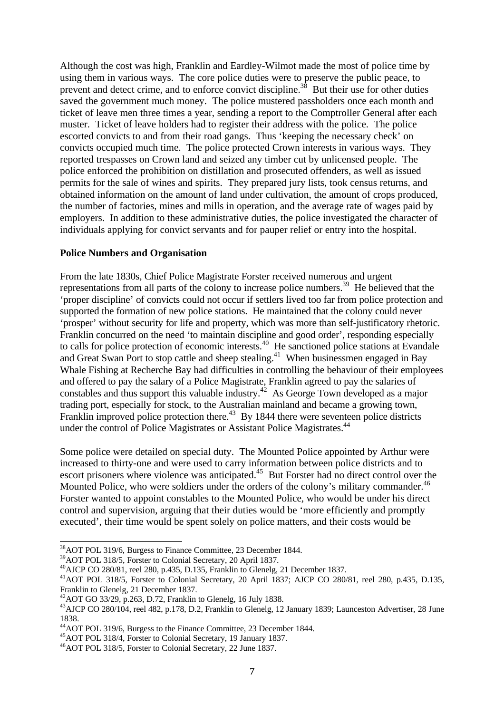Although the cost was high, Franklin and Eardley-Wilmot made the most of police time by using them in various ways. The core police duties were to preserve the public peace, to prevent and detect crime, and to enforce convict discipline.<sup>38</sup> But their use for other duties saved the government much money. The police mustered passholders once each month and ticket of leave men three times a year, sending a report to the Comptroller General after each muster. Ticket of leave holders had to register their address with the police. The police escorted convicts to and from their road gangs. Thus 'keeping the necessary check' on convicts occupied much time. The police protected Crown interests in various ways. They reported trespasses on Crown land and seized any timber cut by unlicensed people. The police enforced the prohibition on distillation and prosecuted offenders, as well as issued permits for the sale of wines and spirits. They prepared jury lists, took census returns, and obtained information on the amount of land under cultivation, the amount of crops produced, the number of factories, mines and mills in operation, and the average rate of wages paid by employers. In addition to these administrative duties, the police investigated the character of individuals applying for convict servants and for pauper relief or entry into the hospital.

#### **Police Numbers and Organisation**

From the late 1830s, Chief Police Magistrate Forster received numerous and urgent representations from all parts of the colony to increase police numbers.<sup>39</sup> He believed that the 'proper discipline' of convicts could not occur if settlers lived too far from police protection and supported the formation of new police stations. He maintained that the colony could never 'prosper' without security for life and property, which was more than self-justificatory rhetoric. Franklin concurred on the need 'to maintain discipline and good order', responding especially to calls for police protection of economic interests.<sup>40</sup> He sanctioned police stations at Evandale and Great Swan Port to stop cattle and sheep stealing.<sup>41</sup> When businessmen engaged in Bay Whale Fishing at Recherche Bay had difficulties in controlling the behaviour of their employees and offered to pay the salary of a Police Magistrate, Franklin agreed to pay the salaries of constables and thus support this valuable industry.<sup>42</sup> As George Town developed as a major trading port, especially for stock, to the Australian mainland and became a growing town, Franklin improved police protection there.<sup>43</sup> By 1844 there were seventeen police districts under the control of Police Magistrates or Assistant Police Magistrates.<sup>44</sup>

Some police were detailed on special duty. The Mounted Police appointed by Arthur were increased to thirty-one and were used to carry information between police districts and to escort prisoners where violence was anticipated.<sup>45</sup> But Forster had no direct control over the Mounted Police, who were soldiers under the orders of the colony's military commander.<sup>46</sup> Forster wanted to appoint constables to the Mounted Police, who would be under his direct control and supervision, arguing that their duties would be 'more efficiently and promptly executed', their time would be spent solely on police matters, and their costs would be

<sup>-</sup><sup>38</sup>AOT POL 319/6, Burgess to Finance Committee, 23 December 1844.

<sup>39</sup>AOT POL 318/5, Forster to Colonial Secretary, 20 April 1837.

<sup>40</sup>AJCP CO 280/81, reel 280, p.435, D.135, Franklin to Glenelg, 21 December 1837.

<sup>41</sup>AOT POL 318/5, Forster to Colonial Secretary, 20 April 1837; AJCP CO 280/81, reel 280, p.435, D.135, Franklin to Glenelg, 21 December 1837.

<sup>42</sup>AOT GO 33/29, p.263, D.72, Franklin to Glenelg, 16 July 1838.

<sup>43</sup>AJCP CO 280/104, reel 482, p.178, D.2, Franklin to Glenelg, 12 January 1839; Launceston Advertiser, 28 June 1838.

<sup>44</sup>AOT POL 319/6, Burgess to the Finance Committee, 23 December 1844.

<sup>45</sup>AOT POL 318/4, Forster to Colonial Secretary, 19 January 1837.

<sup>46</sup>AOT POL 318/5, Forster to Colonial Secretary, 22 June 1837.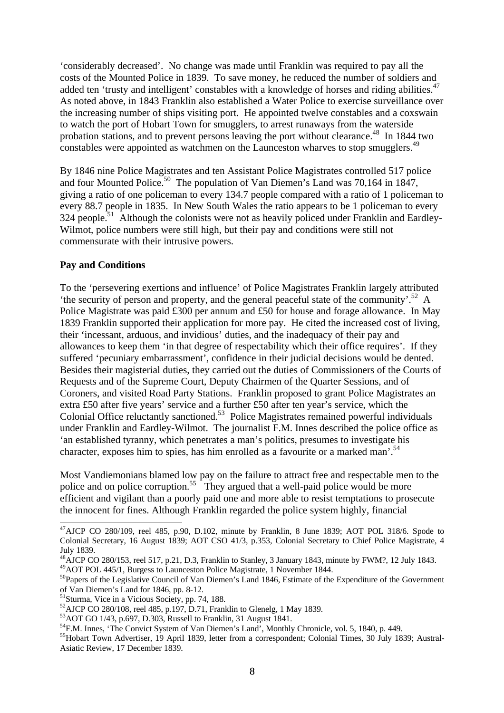'considerably decreased'. No change was made until Franklin was required to pay all the costs of the Mounted Police in 1839. To save money, he reduced the number of soldiers and added ten 'trusty and intelligent' constables with a knowledge of horses and riding abilities.<sup>47</sup> As noted above, in 1843 Franklin also established a Water Police to exercise surveillance over the increasing number of ships visiting port. He appointed twelve constables and a coxswain to watch the port of Hobart Town for smugglers, to arrest runaways from the waterside probation stations, and to prevent persons leaving the port without clearance.<sup>48</sup> In 1844 two constables were appointed as watchmen on the Launceston wharves to stop smugglers.<sup>49</sup>

By 1846 nine Police Magistrates and ten Assistant Police Magistrates controlled 517 police and four Mounted Police.<sup>50</sup> The population of Van Diemen's Land was 70,164 in 1847, giving a ratio of one policeman to every 134.7 people compared with a ratio of 1 policeman to every 88.7 people in 1835. In New South Wales the ratio appears to be 1 policeman to every  $324$  people.<sup>51</sup> Although the colonists were not as heavily policed under Franklin and Eardley-Wilmot, police numbers were still high, but their pay and conditions were still not commensurate with their intrusive powers.

## **Pay and Conditions**

To the 'persevering exertions and influence' of Police Magistrates Franklin largely attributed 'the security of person and property, and the general peaceful state of the community'.<sup>52</sup> A Police Magistrate was paid £300 per annum and £50 for house and forage allowance. In May 1839 Franklin supported their application for more pay. He cited the increased cost of living, their 'incessant, arduous, and invidious' duties, and the inadequacy of their pay and allowances to keep them 'in that degree of respectability which their office requires'. If they suffered 'pecuniary embarrassment', confidence in their judicial decisions would be dented. Besides their magisterial duties, they carried out the duties of Commissioners of the Courts of Requests and of the Supreme Court, Deputy Chairmen of the Quarter Sessions, and of Coroners, and visited Road Party Stations. Franklin proposed to grant Police Magistrates an extra £50 after five years' service and a further £50 after ten year's service, which the Colonial Office reluctantly sanctioned.<sup>53</sup> Police Magistrates remained powerful individuals under Franklin and Eardley-Wilmot. The journalist F.M. Innes described the police office as 'an established tyranny, which penetrates a man's politics, presumes to investigate his character, exposes him to spies, has him enrolled as a favourite or a marked man'.<sup>54</sup>

Most Vandiemonians blamed low pay on the failure to attract free and respectable men to the police and on police corruption.<sup>55</sup> They argued that a well-paid police would be more efficient and vigilant than a poorly paid one and more able to resist temptations to prosecute the innocent for fines. Although Franklin regarded the police system highly, financial

<sup>-</sup> $^{47}$ AJCP CO 280/109, reel 485, p.90, D.102, minute by Franklin, 8 June 1839; AOT POL 318/6. Spode to Colonial Secretary, 16 August 1839; AOT CSO 41/3, p.353, Colonial Secretary to Chief Police Magistrate, 4 July 1839.

<sup>&</sup>lt;sup>48</sup>AJCP CO 280/153, reel 517, p.21, D.3, Franklin to Stanley, 3 January 1843, minute by FWM?, 12 July 1843. 49 AOT POL 445/1, Burgess to Launceston Police Magistrate, 1 November 1844.

<sup>&</sup>lt;sup>50</sup>Papers of the Legislative Council of Van Diemen's Land 1846, Estimate of the Expenditure of the Government of Van Diemen's Land for 1846, pp. 8-12.

<sup>&</sup>lt;sup>51</sup>Sturma, Vice in a Vicious Society, pp. 74, 188.

 $52$ AJCP CO 280/108, reel 485, p.197, D.71, Franklin to Glenelg, 1 May 1839.

<sup>53</sup>AOT GO 1/43, p.697, D.303, Russell to Franklin, 31 August 1841.

<sup>&</sup>lt;sup>54</sup>F.M. Innes, 'The Convict System of Van Diemen's Land', Monthly Chronicle, vol. 5, 1840, p. 449.

<sup>&</sup>lt;sup>55</sup>Hobart Town Advertiser, 19 April 1839, letter from a correspondent; Colonial Times, 30 July 1839; Austral-Asiatic Review, 17 December 1839.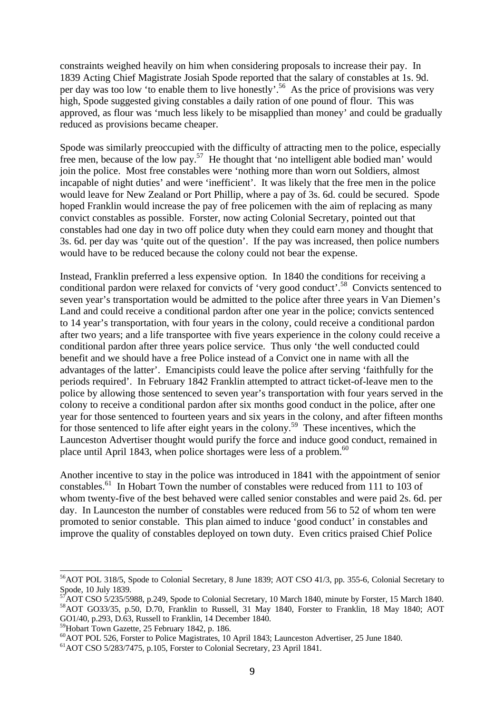constraints weighed heavily on him when considering proposals to increase their pay. In 1839 Acting Chief Magistrate Josiah Spode reported that the salary of constables at 1s. 9d. per day was too low 'to enable them to live honestly'.<sup>56</sup> As the price of provisions was very high, Spode suggested giving constables a daily ration of one pound of flour. This was approved, as flour was 'much less likely to be misapplied than money' and could be gradually reduced as provisions became cheaper.

Spode was similarly preoccupied with the difficulty of attracting men to the police, especially free men, because of the low pay.<sup>57</sup> He thought that 'no intelligent able bodied man' would join the police. Most free constables were 'nothing more than worn out Soldiers, almost incapable of night duties' and were 'inefficient'. It was likely that the free men in the police would leave for New Zealand or Port Phillip, where a pay of 3s. 6d. could be secured. Spode hoped Franklin would increase the pay of free policemen with the aim of replacing as many convict constables as possible. Forster, now acting Colonial Secretary, pointed out that constables had one day in two off police duty when they could earn money and thought that 3s. 6d. per day was 'quite out of the question'. If the pay was increased, then police numbers would have to be reduced because the colony could not bear the expense.

Instead, Franklin preferred a less expensive option. In 1840 the conditions for receiving a conditional pardon were relaxed for convicts of 'very good conduct'.<sup>58</sup> Convicts sentenced to seven year's transportation would be admitted to the police after three years in Van Diemen's Land and could receive a conditional pardon after one year in the police; convicts sentenced to 14 year's transportation, with four years in the colony, could receive a conditional pardon after two years; and a life transportee with five years experience in the colony could receive a conditional pardon after three years police service. Thus only 'the well conducted could benefit and we should have a free Police instead of a Convict one in name with all the advantages of the latter'. Emancipists could leave the police after serving 'faithfully for the periods required'. In February 1842 Franklin attempted to attract ticket-of-leave men to the police by allowing those sentenced to seven year's transportation with four years served in the colony to receive a conditional pardon after six months good conduct in the police, after one year for those sentenced to fourteen years and six years in the colony, and after fifteen months for those sentenced to life after eight years in the colony.<sup>59</sup> These incentives, which the Launceston Advertiser thought would purify the force and induce good conduct, remained in place until April 1843, when police shortages were less of a problem.<sup>60</sup>

Another incentive to stay in the police was introduced in 1841 with the appointment of senior constables.<sup>61</sup> In Hobart Town the number of constables were reduced from 111 to 103 of whom twenty-five of the best behaved were called senior constables and were paid 2s. 6d. per day. In Launceston the number of constables were reduced from 56 to 52 of whom ten were promoted to senior constable. This plan aimed to induce 'good conduct' in constables and improve the quality of constables deployed on town duty. Even critics praised Chief Police

<sup>-</sup><sup>56</sup>AOT POL 318/5, Spode to Colonial Secretary, 8 June 1839; AOT CSO 41/3, pp. 355-6, Colonial Secretary to Spode, 10 July 1839.

 $\overline{A}$ OT CSO 5/235/5988, p.249, Spode to Colonial Secretary, 10 March 1840, minute by Forster, 15 March 1840. <sup>58</sup>AOT GO33/35, p.50, D.70, Franklin to Russell, 31 May 1840, Forster to Franklin, 18 May 1840; AOT GO1/40, p.293, D.63, Russell to Franklin, 14 December 1840.

<sup>59</sup>Hobart Town Gazette, 25 February 1842, p. 186.

<sup>60</sup>AOT POL 526, Forster to Police Magistrates, 10 April 1843; Launceston Advertiser, 25 June 1840.

<sup>61</sup>AOT CSO 5/283/7475, p.105, Forster to Colonial Secretary, 23 April 1841.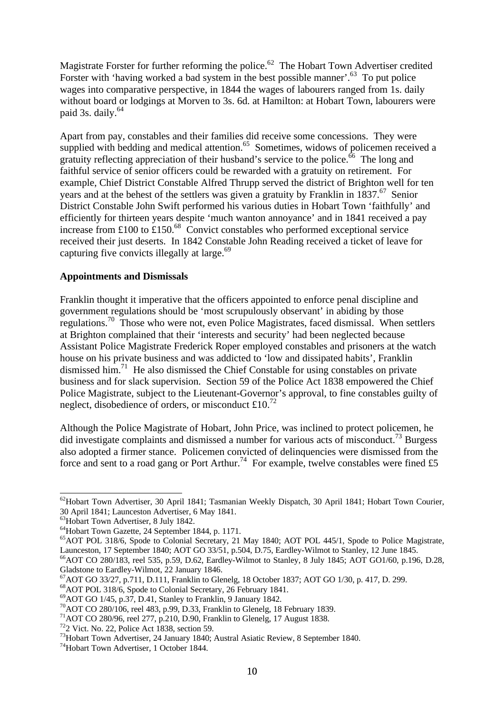Magistrate Forster for further reforming the police.<sup>62</sup> The Hobart Town Advertiser credited Forster with 'having worked a bad system in the best possible manner'.<sup>63</sup> To put police wages into comparative perspective, in 1844 the wages of labourers ranged from 1s. daily without board or lodgings at Morven to 3s. 6d. at Hamilton: at Hobart Town, labourers were paid 3s. daily. $64$ 

Apart from pay, constables and their families did receive some concessions. They were supplied with bedding and medical attention.<sup>65</sup> Sometimes, widows of policemen received a gratuity reflecting appreciation of their husband's service to the police.<sup>66</sup> The long and faithful service of senior officers could be rewarded with a gratuity on retirement. For example, Chief District Constable Alfred Thrupp served the district of Brighton well for ten years and at the behest of the settlers was given a gratuity by Franklin in  $1837$ .<sup>67</sup> Senior District Constable John Swift performed his various duties in Hobart Town 'faithfully' and efficiently for thirteen years despite 'much wanton annoyance' and in 1841 received a pay increase from £100 to  $\text{\textsterling}150$ .<sup>68</sup> Convict constables who performed exceptional service received their just deserts. In 1842 Constable John Reading received a ticket of leave for capturing five convicts illegally at large.<sup>69</sup>

### **Appointments and Dismissals**

Franklin thought it imperative that the officers appointed to enforce penal discipline and government regulations should be 'most scrupulously observant' in abiding by those regulations.<sup>70</sup> Those who were not, even Police Magistrates, faced dismissal. When settlers at Brighton complained that their 'interests and security' had been neglected because Assistant Police Magistrate Frederick Roper employed constables and prisoners at the watch house on his private business and was addicted to 'low and dissipated habits', Franklin dismissed him.<sup>71</sup> He also dismissed the Chief Constable for using constables on private business and for slack supervision. Section 59 of the Police Act 1838 empowered the Chief Police Magistrate, subject to the Lieutenant-Governor's approval, to fine constables guilty of neglect, disobedience of orders, or misconduct  $\text{\pounds}10$ .<sup>72</sup>

Although the Police Magistrate of Hobart, John Price, was inclined to protect policemen, he did investigate complaints and dismissed a number for various acts of misconduct.<sup>73</sup> Burgess also adopted a firmer stance. Policemen convicted of delinquencies were dismissed from the force and sent to a road gang or Port Arthur.<sup>74</sup> For example, twelve constables were fined £5

<sup>72</sup>2 Vict. No. 22, Police Act 1838, section 59.

<sup>-</sup><sup>62</sup>Hobart Town Advertiser, 30 April 1841; Tasmanian Weekly Dispatch, 30 April 1841; Hobart Town Courier, 30 April 1841; Launceston Advertiser, 6 May 1841.

<sup>&</sup>lt;sup>63</sup>Hobart Town Advertiser, 8 July 1842.

<sup>64</sup>Hobart Town Gazette, 24 September 1844, p. 1171.

<sup>65</sup>AOT POL 318/6, Spode to Colonial Secretary, 21 May 1840; AOT POL 445/1, Spode to Police Magistrate, Launceston, 17 September 1840; AOT GO 33/51, p.504, D.75, Eardley-Wilmot to Stanley, 12 June 1845.

<sup>66</sup>AOT CO 280/183, reel 535, p.59, D.62, Eardley-Wilmot to Stanley, 8 July 1845; AOT GO1/60, p.196, D.28, Gladstone to Eardley-Wilmot, 22 January 1846.

<sup>67</sup>AOT GO 33/27, p.711, D.111, Franklin to Glenelg, 18 October 1837; AOT GO 1/30, p. 417, D. 299.

<sup>68</sup>AOT POL 318/6, Spode to Colonial Secretary, 26 February 1841.

<sup>69</sup>AOT GO 1/45, p.37, D.41, Stanley to Franklin, 9 January 1842.

<sup>70</sup>AOT CO 280/106, reel 483, p.99, D.33, Franklin to Glenelg, 18 February 1839.

 $71$ AOT CO 280/96, reel 277, p.210, D.90, Franklin to Glenelg, 17 August 1838.

<sup>&</sup>lt;sup>73</sup>Hobart Town Advertiser, 24 January 1840; Austral Asiatic Review, 8 September 1840.

<sup>74</sup>Hobart Town Advertiser, 1 October 1844.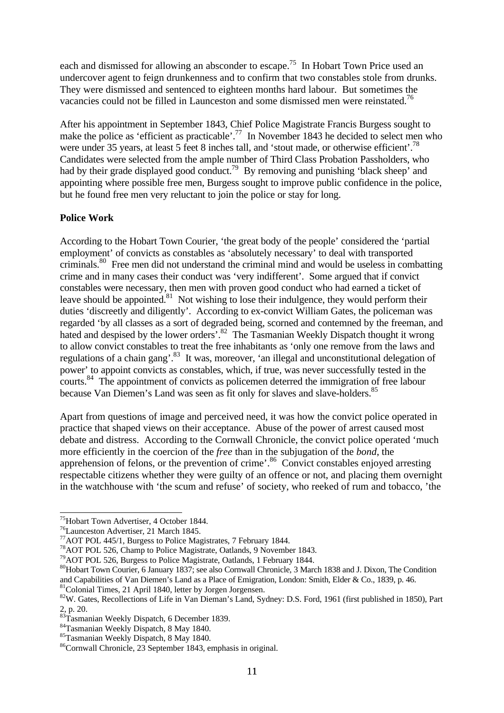each and dismissed for allowing an absconder to escape.<sup>75</sup> In Hobart Town Price used an undercover agent to feign drunkenness and to confirm that two constables stole from drunks. They were dismissed and sentenced to eighteen months hard labour. But sometimes the vacancies could not be filled in Launceston and some dismissed men were reinstated.<sup>76</sup>

After his appointment in September 1843, Chief Police Magistrate Francis Burgess sought to make the police as 'efficient as practicable'.<sup>77</sup> In November 1843 he decided to select men who were under 35 years, at least 5 feet 8 inches tall, and 'stout made, or otherwise efficient'.<sup>78</sup> Candidates were selected from the ample number of Third Class Probation Passholders, who had by their grade displayed good conduct.<sup>79</sup> By removing and punishing 'black sheep' and appointing where possible free men, Burgess sought to improve public confidence in the police, but he found free men very reluctant to join the police or stay for long.

## **Police Work**

According to the Hobart Town Courier, 'the great body of the people' considered the 'partial employment' of convicts as constables as 'absolutely necessary' to deal with transported criminals.<sup>80</sup> Free men did not understand the criminal mind and would be useless in combatting crime and in many cases their conduct was 'very indifferent'. Some argued that if convict constables were necessary, then men with proven good conduct who had earned a ticket of leave should be appointed.<sup>81</sup> Not wishing to lose their indulgence, they would perform their duties 'discreetly and diligently'. According to ex-convict William Gates, the policeman was regarded 'by all classes as a sort of degraded being, scorned and contemned by the freeman, and hated and despised by the lower orders'.<sup>82</sup> The Tasmanian Weekly Dispatch thought it wrong to allow convict constables to treat the free inhabitants as 'only one remove from the laws and regulations of a chain gang'.<sup>83</sup> It was, moreover, 'an illegal and unconstitutional delegation of power' to appoint convicts as constables, which, if true, was never successfully tested in the courts.<sup>84</sup> The appointment of convicts as policemen deterred the immigration of free labour because Van Diemen's Land was seen as fit only for slaves and slave-holders.<sup>85</sup>

Apart from questions of image and perceived need, it was how the convict police operated in practice that shaped views on their acceptance. Abuse of the power of arrest caused most debate and distress. According to the Cornwall Chronicle, the convict police operated 'much more efficiently in the coercion of the *free* than in the subjugation of the *bond*, the apprehension of felons, or the prevention of crime'.<sup>86</sup> Convict constables enjoyed arresting respectable citizens whether they were guilty of an offence or not, and placing them overnight in the watchhouse with 'the scum and refuse' of society, who reeked of rum and tobacco, 'the

<sup>75</sup>Hobart Town Advertiser, 4 October 1844.

<sup>76</sup>Launceston Advertiser, 21 March 1845.

<sup>77</sup>AOT POL 445/1, Burgess to Police Magistrates, 7 February 1844.

<sup>78</sup>AOT POL 526, Champ to Police Magistrate, Oatlands, 9 November 1843.

<sup>&</sup>lt;sup>79</sup>AOT POL 526, Burgess to Police Magistrate, Oatlands, 1 February 1844.

<sup>80</sup>Hobart Town Courier, 6 January 1837; see also Cornwall Chronicle, 3 March 1838 and J. Dixon, The Condition and Capabilities of Van Diemen's Land as a Place of Emigration, London: Smith, Elder & Co., 1839, p. 46.

<sup>&</sup>lt;sup>81</sup>Colonial Times, 21 April 1840, letter by Jorgen Jorgensen.

<sup>&</sup>lt;sup>82</sup>W. Gates, Recollections of Life in Van Dieman's Land, Sydney: D.S. Ford, 1961 (first published in 1850), Part  $\frac{2}{83}$  p. 20.

Tasmanian Weekly Dispatch, 6 December 1839.

<sup>84</sup>Tasmanian Weekly Dispatch, 8 May 1840.

<sup>85</sup>Tasmanian Weekly Dispatch, 8 May 1840.

<sup>86</sup>Cornwall Chronicle, 23 September 1843, emphasis in original.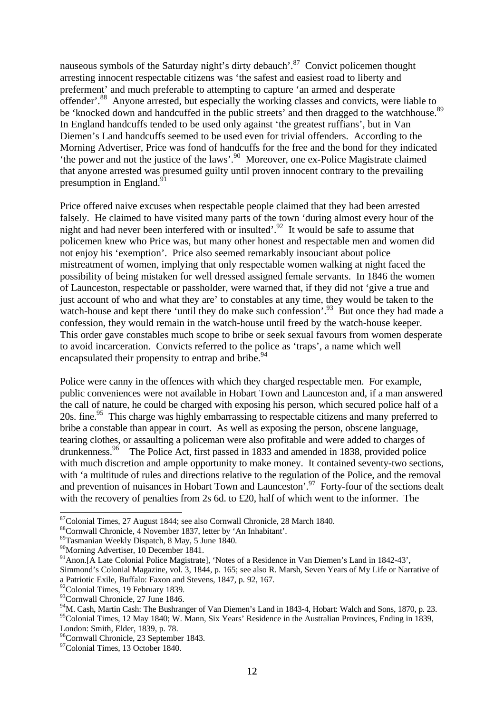nauseous symbols of the Saturday night's dirty debauch'.<sup>87</sup> Convict policemen thought arresting innocent respectable citizens was 'the safest and easiest road to liberty and preferment' and much preferable to attempting to capture 'an armed and desperate offender'.<sup>88</sup> Anyone arrested, but especially the working classes and convicts, were liable to be 'knocked down and handcuffed in the public streets' and then dragged to the watchhouse.<sup>89</sup> In England handcuffs tended to be used only against 'the greatest ruffians', but in Van Diemen's Land handcuffs seemed to be used even for trivial offenders. According to the Morning Advertiser, Price was fond of handcuffs for the free and the bond for they indicated 'the power and not the justice of the laws'.<sup>90</sup> Moreover, one ex-Police Magistrate claimed that anyone arrested was presumed guilty until proven innocent contrary to the prevailing presumption in England.<sup>91</sup>

Price offered naive excuses when respectable people claimed that they had been arrested falsely. He claimed to have visited many parts of the town 'during almost every hour of the night and had never been interfered with or insulted'.<sup>92</sup> It would be safe to assume that policemen knew who Price was, but many other honest and respectable men and women did not enjoy his 'exemption'. Price also seemed remarkably insouciant about police mistreatment of women, implying that only respectable women walking at night faced the possibility of being mistaken for well dressed assigned female servants. In 1846 the women of Launceston, respectable or passholder, were warned that, if they did not 'give a true and just account of who and what they are' to constables at any time, they would be taken to the watch-house and kept there 'until they do make such confession'.<sup>93</sup> But once they had made a confession, they would remain in the watch-house until freed by the watch-house keeper. This order gave constables much scope to bribe or seek sexual favours from women desperate to avoid incarceration. Convicts referred to the police as 'traps', a name which well encapsulated their propensity to entrap and bribe.<sup>94</sup>

Police were canny in the offences with which they charged respectable men. For example, public conveniences were not available in Hobart Town and Launceston and, if a man answered the call of nature, he could be charged with exposing his person, which secured police half of a 20s. fine.<sup>95</sup> This charge was highly embarrassing to respectable citizens and many preferred to bribe a constable than appear in court. As well as exposing the person, obscene language, tearing clothes, or assaulting a policeman were also profitable and were added to charges of drunkenness.<sup>96</sup> The Police Act, first passed in 1833 and amended in 1838, provided police with much discretion and ample opportunity to make money. It contained seventy-two sections, with 'a multitude of rules and directions relative to the regulation of the Police, and the removal and prevention of nuisances in Hobart Town and Launceston'.<sup>97</sup> Forty-four of the sections dealt with the recovery of penalties from 2s 6d, to £20, half of which went to the informer. The

<sup>&</sup>lt;sup>87</sup>Colonial Times, 27 August 1844; see also Cornwall Chronicle, 28 March 1840.

<sup>88</sup>Cornwall Chronicle, 4 November 1837, letter by 'An Inhabitant'.

<sup>89</sup>Tasmanian Weekly Dispatch, 8 May, 5 June 1840.

<sup>90</sup>Morning Advertiser, 10 December 1841.

<sup>91</sup>Anon.[A Late Colonial Police Magistrate], 'Notes of a Residence in Van Diemen's Land in 1842-43',

Simmond's Colonial Magazine, vol. 3, 1844, p. 165; see also R. Marsh, Seven Years of My Life or Narrative of a Patriotic Exile, Buffalo: Faxon and Stevens, 1847, p. 92, 167.

<sup>&</sup>lt;sup>92</sup>Colonial Times, 19 February 1839.

<sup>&</sup>lt;sup>93</sup>Cornwall Chronicle, 27 June 1846.

<sup>94</sup>M. Cash, Martin Cash: The Bushranger of Van Diemen's Land in 1843-4, Hobart: Walch and Sons, 1870, p. 23. <sup>95</sup>Colonial Times, 12 May 1840; W. Mann, Six Years' Residence in the Australian Provinces, Ending in 1839, London: Smith, Elder, 1839, p. 78.

<sup>96</sup>Cornwall Chronicle, 23 September 1843.

<sup>&</sup>lt;sup>97</sup>Colonial Times, 13 October 1840.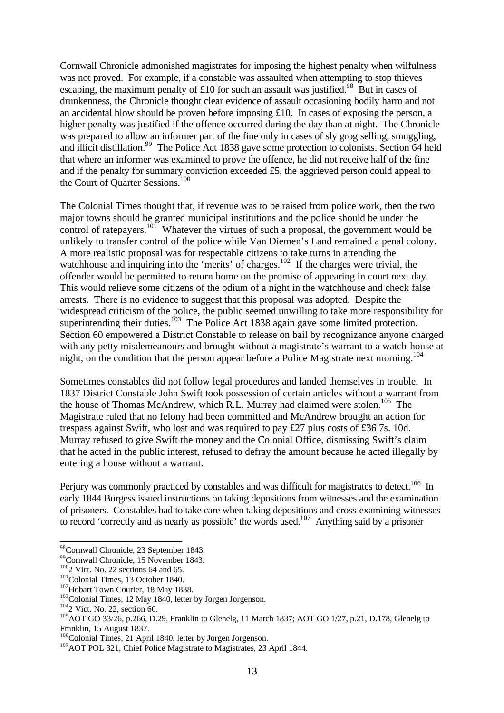Cornwall Chronicle admonished magistrates for imposing the highest penalty when wilfulness was not proved. For example, if a constable was assaulted when attempting to stop thieves escaping, the maximum penalty of £10 for such an assault was justified.<sup>98</sup> But in cases of drunkenness, the Chronicle thought clear evidence of assault occasioning bodily harm and not an accidental blow should be proven before imposing £10. In cases of exposing the person, a higher penalty was justified if the offence occurred during the day than at night. The Chronicle was prepared to allow an informer part of the fine only in cases of sly grog selling, smuggling, and illicit distillation.<sup>99</sup> The Police Act 1838 gave some protection to colonists. Section 64 held that where an informer was examined to prove the offence, he did not receive half of the fine and if the penalty for summary conviction exceeded £5, the aggrieved person could appeal to the Court of Quarter Sessions.<sup>100</sup>

The Colonial Times thought that, if revenue was to be raised from police work, then the two major towns should be granted municipal institutions and the police should be under the control of ratepayers.<sup>101</sup> Whatever the virtues of such a proposal, the government would be unlikely to transfer control of the police while Van Diemen's Land remained a penal colony. A more realistic proposal was for respectable citizens to take turns in attending the watchhouse and inquiring into the 'merits' of charges.<sup>102</sup> If the charges were trivial, the offender would be permitted to return home on the promise of appearing in court next day. This would relieve some citizens of the odium of a night in the watchhouse and check false arrests. There is no evidence to suggest that this proposal was adopted. Despite the widespread criticism of the police, the public seemed unwilling to take more responsibility for superintending their duties.<sup>103</sup> The Police Act 1838 again gave some limited protection. Section 60 empowered a District Constable to release on bail by recognizance anyone charged with any petty misdemeanours and brought without a magistrate's warrant to a watch-house at night, on the condition that the person appear before a Police Magistrate next morning.<sup>104</sup>

Sometimes constables did not follow legal procedures and landed themselves in trouble. In 1837 District Constable John Swift took possession of certain articles without a warrant from the house of Thomas McAndrew, which R.L. Murray had claimed were stolen.<sup>105</sup> The Magistrate ruled that no felony had been committed and McAndrew brought an action for trespass against Swift, who lost and was required to pay £27 plus costs of £36 7s. 10d. Murray refused to give Swift the money and the Colonial Office, dismissing Swift's claim that he acted in the public interest, refused to defray the amount because he acted illegally by entering a house without a warrant.

Perjury was commonly practiced by constables and was difficult for magistrates to detect.<sup>106</sup> In early 1844 Burgess issued instructions on taking depositions from witnesses and the examination of prisoners. Constables had to take care when taking depositions and cross-examining witnesses to record 'correctly and as nearly as possible' the words used.<sup>107</sup> Anything said by a prisoner

<sup>-</sup><sup>98</sup>Cornwall Chronicle, 23 September 1843.

<sup>99</sup>Cornwall Chronicle, 15 November 1843.

 $100<sub>2</sub>$  Vict. No. 22 sections 64 and 65.

<sup>&</sup>lt;sup>101</sup>Colonial Times, 13 October 1840.

<sup>&</sup>lt;sup>102</sup>Hobart Town Courier, 18 May 1838.

<sup>&</sup>lt;sup>103</sup>Colonial Times, 12 May 1840, letter by Jorgen Jorgenson.

<sup>104</sup>2 Vict. No. 22, section 60.

<sup>105</sup>AOT GO 33/26, p.266, D.29, Franklin to Glenelg, 11 March 1837; AOT GO 1/27, p.21, D.178, Glenelg to Franklin, 15 August 1837.

<sup>&</sup>lt;sup>106</sup>Colonial Times, 21 April 1840, letter by Jorgen Jorgenson.

<sup>&</sup>lt;sup>107</sup>AOT POL 321, Chief Police Magistrate to Magistrates, 23 April 1844.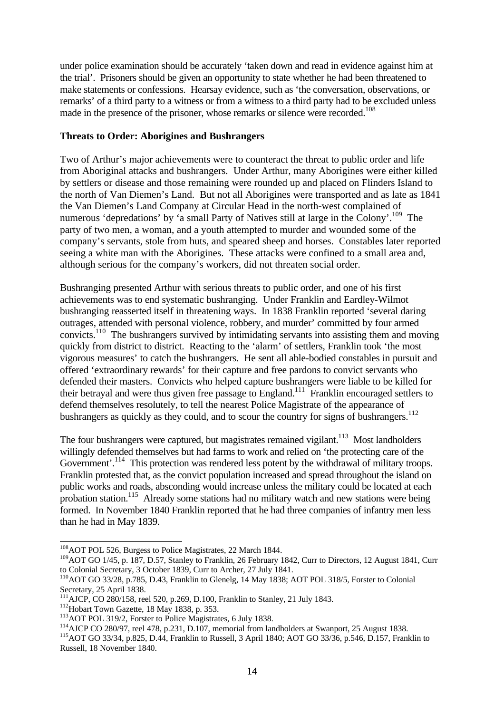under police examination should be accurately 'taken down and read in evidence against him at the trial'. Prisoners should be given an opportunity to state whether he had been threatened to make statements or confessions. Hearsay evidence, such as 'the conversation, observations, or remarks' of a third party to a witness or from a witness to a third party had to be excluded unless made in the presence of the prisoner, whose remarks or silence were recorded.<sup>108</sup>

#### **Threats to Order: Aborigines and Bushrangers**

Two of Arthur's major achievements were to counteract the threat to public order and life from Aboriginal attacks and bushrangers. Under Arthur, many Aborigines were either killed by settlers or disease and those remaining were rounded up and placed on Flinders Island to the north of Van Diemen's Land. But not all Aborigines were transported and as late as 1841 the Van Diemen's Land Company at Circular Head in the north-west complained of numerous 'depredations' by 'a small Party of Natives still at large in the Colony'.<sup>109</sup> The party of two men, a woman, and a youth attempted to murder and wounded some of the company's servants, stole from huts, and speared sheep and horses. Constables later reported seeing a white man with the Aborigines. These attacks were confined to a small area and, although serious for the company's workers, did not threaten social order.

Bushranging presented Arthur with serious threats to public order, and one of his first achievements was to end systematic bushranging. Under Franklin and Eardley-Wilmot bushranging reasserted itself in threatening ways. In 1838 Franklin reported 'several daring outrages, attended with personal violence, robbery, and murder' committed by four armed convicts.<sup>110</sup> The bushrangers survived by intimidating servants into assisting them and moving quickly from district to district. Reacting to the 'alarm' of settlers, Franklin took 'the most vigorous measures' to catch the bushrangers. He sent all able-bodied constables in pursuit and offered 'extraordinary rewards' for their capture and free pardons to convict servants who defended their masters. Convicts who helped capture bushrangers were liable to be killed for their betrayal and were thus given free passage to England.<sup>111</sup> Franklin encouraged settlers to defend themselves resolutely, to tell the nearest Police Magistrate of the appearance of bushrangers as quickly as they could, and to scour the country for signs of bushrangers.<sup>112</sup>

The four bushrangers were captured, but magistrates remained vigilant.<sup>113</sup> Most landholders willingly defended themselves but had farms to work and relied on 'the protecting care of the Government'.<sup>114</sup> This protection was rendered less potent by the withdrawal of military troops. Franklin protested that, as the convict population increased and spread throughout the island on public works and roads, absconding would increase unless the military could be located at each probation station.<sup>115</sup> Already some stations had no military watch and new stations were being formed. In November 1840 Franklin reported that he had three companies of infantry men less than he had in May 1839.

<sup>-</sup><sup>108</sup> AOT POL 526, Burgess to Police Magistrates, 22 March 1844.

<sup>&</sup>lt;sup>109</sup>AOT GO 1/45, p. 187, D.57, Stanley to Franklin, 26 February 1842, Curr to Directors, 12 August 1841, Curr to Colonial Secretary, 3 October 1839, Curr to Archer, 27 July 1841.

<sup>110</sup>AOT GO 33/28, p.785, D.43, Franklin to Glenelg, 14 May 1838; AOT POL 318/5, Forster to Colonial Secretary, 25 April 1838.

<sup>111&</sup>lt;br><sup>111</sup>AJCP, CO 280/158, reel 520, p.269, D.100, Franklin to Stanley, 21 July 1843.

<sup>&</sup>lt;sup>112</sup>Hobart Town Gazette, 18 May 1838, p. 353.

<sup>&</sup>lt;sup>113</sup>AOT POL 319/2, Forster to Police Magistrates, 6 July 1838.

<sup>&</sup>lt;sup>114</sup>AJCP CO 280/97, reel 478, p.231, D.107, memorial from landholders at Swanport, 25 August 1838.

<sup>115</sup>AOT GO 33/34, p.825, D.44, Franklin to Russell, 3 April 1840; AOT GO 33/36, p.546, D.157, Franklin to Russell, 18 November 1840.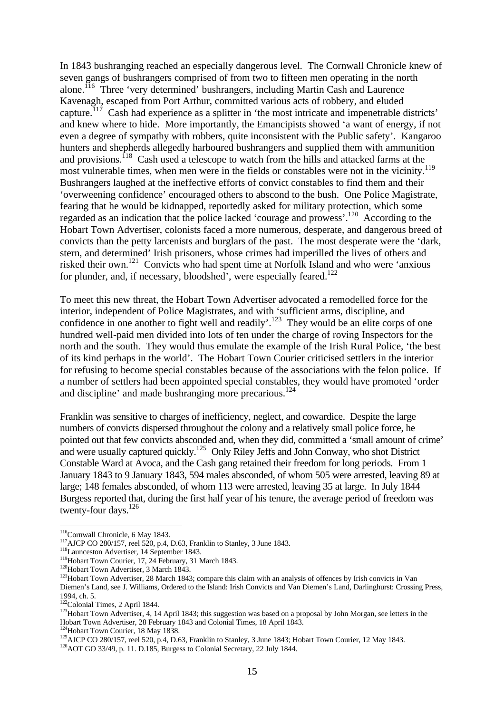In 1843 bushranging reached an especially dangerous level. The Cornwall Chronicle knew of seven gangs of bushrangers comprised of from two to fifteen men operating in the north alone.<sup>116</sup> Three 'very determined' bushrangers, including Martin Cash and Laurence Kavenagh, escaped from Port Arthur, committed various acts of robbery, and eluded capture.<sup>117</sup> Cash had experience as a splitter in 'the most intricate and impenetrable districts' and knew where to hide. More importantly, the Emancipists showed 'a want of energy, if not even a degree of sympathy with robbers, quite inconsistent with the Public safety'. Kangaroo hunters and shepherds allegedly harboured bushrangers and supplied them with ammunition and provisions.<sup>118</sup> Cash used a telescope to watch from the hills and attacked farms at the most vulnerable times, when men were in the fields or constables were not in the vicinity.<sup>119</sup> Bushrangers laughed at the ineffective efforts of convict constables to find them and their 'overweening confidence' encouraged others to abscond to the bush. One Police Magistrate, fearing that he would be kidnapped, reportedly asked for military protection, which some regarded as an indication that the police lacked 'courage and prowess'.<sup>120</sup> According to the Hobart Town Advertiser, colonists faced a more numerous, desperate, and dangerous breed of convicts than the petty larcenists and burglars of the past. The most desperate were the 'dark, stern, and determined' Irish prisoners, whose crimes had imperilled the lives of others and risked their own.<sup>121</sup> Convicts who had spent time at Norfolk Island and who were 'anxious for plunder, and, if necessary, bloodshed', were especially feared.<sup>122</sup>

To meet this new threat, the Hobart Town Advertiser advocated a remodelled force for the interior, independent of Police Magistrates, and with 'sufficient arms, discipline, and confidence in one another to fight well and readily'.<sup>123</sup> They would be an elite corps of one hundred well-paid men divided into lots of ten under the charge of roving Inspectors for the north and the south. They would thus emulate the example of the Irish Rural Police, 'the best of its kind perhaps in the world'. The Hobart Town Courier criticised settlers in the interior for refusing to become special constables because of the associations with the felon police. If a number of settlers had been appointed special constables, they would have promoted 'order and discipline' and made bushranging more precarious.<sup>124</sup>

Franklin was sensitive to charges of inefficiency, neglect, and cowardice. Despite the large numbers of convicts dispersed throughout the colony and a relatively small police force, he pointed out that few convicts absconded and, when they did, committed a 'small amount of crime' and were usually captured quickly.<sup>125</sup> Only Riley Jeffs and John Conway, who shot District Constable Ward at Avoca, and the Cash gang retained their freedom for long periods. From 1 January 1843 to 9 January 1843, 594 males absconded, of whom 505 were arrested, leaving 89 at large; 148 females absconded, of whom 113 were arrested, leaving 35 at large. In July 1844 Burgess reported that, during the first half year of his tenure, the average period of freedom was twenty-four days.<sup>126</sup>

<sup>&</sup>lt;sup>116</sup>Cornwall Chronicle, 6 May 1843.

<sup>&</sup>lt;sup>117</sup>AJCP CO 280/157, reel 520, p.4, D.63, Franklin to Stanley, 3 June 1843.

 $118$ Launceston Advertiser, 14 September 1843.

<sup>&</sup>lt;sup>119</sup>Hobart Town Courier, 17, 24 February, 31 March 1843.

<sup>&</sup>lt;sup>120</sup>Hobart Town Advertiser, 3 March 1843.

<sup>&</sup>lt;sup>121</sup>Hobart Town Advertiser, 28 March 1843; compare this claim with an analysis of offences by Irish convicts in Van Diemen's Land, see J. Williams, Ordered to the Island: Irish Convicts and Van Diemen's Land, Darlinghurst: Crossing Press, 1994, ch. 5.

<sup>&</sup>lt;sup>122</sup>Colonial Times, 2 April 1844.

<sup>&</sup>lt;sup>123</sup>Hobart Town Advertiser, 4, 14 April 1843; this suggestion was based on a proposal by John Morgan, see letters in the Hobart Town Advertiser, 28 February 1843 and Colonial Times, 18 April 1843.

<sup>&</sup>lt;sup>124</sup>Hobart Town Courier, 18 May 1838.

<sup>&</sup>lt;sup>125</sup>AJCP CO 280/157, reel 520, p.4, D.63, Franklin to Stanley, 3 June 1843; Hobart Town Courier, 12 May 1843.

<sup>126</sup>AOT GO 33/49, p. 11. D.185, Burgess to Colonial Secretary, 22 July 1844.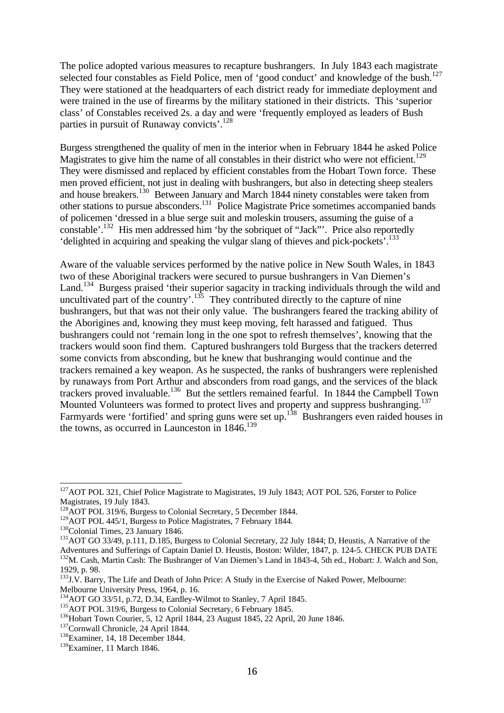The police adopted various measures to recapture bushrangers. In July 1843 each magistrate selected four constables as Field Police, men of 'good conduct' and knowledge of the bush.<sup>127</sup> They were stationed at the headquarters of each district ready for immediate deployment and were trained in the use of firearms by the military stationed in their districts. This 'superior class' of Constables received 2s. a day and were 'frequently employed as leaders of Bush parties in pursuit of Runaway convicts'.<sup>128</sup>

Burgess strengthened the quality of men in the interior when in February 1844 he asked Police Magistrates to give him the name of all constables in their district who were not efficient.<sup>129</sup> They were dismissed and replaced by efficient constables from the Hobart Town force. These men proved efficient, not just in dealing with bushrangers, but also in detecting sheep stealers and house breakers.<sup>130</sup> Between January and March 1844 ninety constables were taken from other stations to pursue absconders.<sup>131</sup> Police Magistrate Price sometimes accompanied bands of policemen 'dressed in a blue serge suit and moleskin trousers, assuming the guise of a constable'.<sup>132</sup> His men addressed him 'by the sobriquet of "Jack"'. Price also reportedly 'delighted in acquiring and speaking the vulgar slang of thieves and pick-pockets'.<sup>133</sup>

Aware of the valuable services performed by the native police in New South Wales, in 1843 two of these Aboriginal trackers were secured to pursue bushrangers in Van Diemen's Land.<sup>134</sup> Burgess praised 'their superior sagacity in tracking individuals through the wild and uncultivated part of the country'.<sup>135</sup> They contributed directly to the capture of nine bushrangers, but that was not their only value. The bushrangers feared the tracking ability of the Aborigines and, knowing they must keep moving, felt harassed and fatigued. Thus bushrangers could not 'remain long in the one spot to refresh themselves', knowing that the trackers would soon find them. Captured bushrangers told Burgess that the trackers deterred some convicts from absconding, but he knew that bushranging would continue and the trackers remained a key weapon. As he suspected, the ranks of bushrangers were replenished by runaways from Port Arthur and absconders from road gangs, and the services of the black trackers proved invaluable.<sup>136</sup> But the settlers remained fearful. In 1844 the Campbell Town Mounted Volunteers was formed to protect lives and property and suppress bushranging.<sup>137</sup> Farmyards were 'fortified' and spring guns were set up.<sup>138</sup> Bushrangers even raided houses in the towns, as occurred in Launceston in  $1846$ <sup>139</sup>

<sup>&</sup>lt;sup>127</sup>AOT POL 321, Chief Police Magistrate to Magistrates, 19 July 1843; AOT POL 526, Forster to Police Magistrates, 19 July 1843.

<sup>&</sup>lt;sup>128</sup>AOT POL 319/6, Burgess to Colonial Secretary, 5 December 1844.

<sup>&</sup>lt;sup>129</sup>AOT POL 445/1, Burgess to Police Magistrates, 7 February 1844.

<sup>&</sup>lt;sup>130</sup>Colonial Times, 23 January 1846.

<sup>&</sup>lt;sup>131</sup>AOT GO 33/49, p.111, D.185, Burgess to Colonial Secretary, 22 July 1844; D, Heustis, A Narrative of the Adventures and Sufferings of Captain Daniel D. Heustis, Boston: Wilder, 1847, p. 124-5. CHECK PUB DATE <sup>132</sup>M. Cash, Martin Cash: The Bushranger of Van Diemen's Land in 1843-4, 5th ed., Hobart: J. Walch and Son, 1929, p. 98.

<sup>&</sup>lt;sup>133</sup>J.V. Barry, The Life and Death of John Price: A Study in the Exercise of Naked Power, Melbourne: Melbourne University Press, 1964, p. 16.

<sup>&</sup>lt;sup>134</sup>AOT GO 33/51, p.72, D.34, Eardley-Wilmot to Stanley, 7 April 1845.

<sup>&</sup>lt;sup>135</sup>AOT POL 319/6, Burgess to Colonial Secretary, 6 February 1845.

<sup>136</sup>Hobart Town Courier, 5, 12 April 1844, 23 August 1845, 22 April, 20 June 1846.

<sup>&</sup>lt;sup>137</sup>Cornwall Chronicle, 24 April 1844.

<sup>&</sup>lt;sup>138</sup>Examiner, 14, 18 December 1844.

<sup>139</sup>Examiner, 11 March 1846.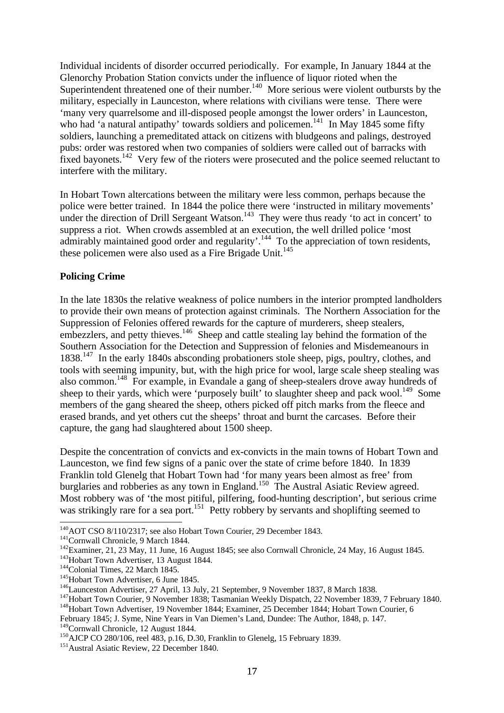Individual incidents of disorder occurred periodically. For example, In January 1844 at the Glenorchy Probation Station convicts under the influence of liquor rioted when the Superintendent threatened one of their number.<sup>140</sup> More serious were violent outbursts by the military, especially in Launceston, where relations with civilians were tense. There were 'many very quarrelsome and ill-disposed people amongst the lower orders' in Launceston, who had 'a natural antipathy' towards soldiers and policemen.<sup>141</sup> In May 1845 some fifty soldiers, launching a premeditated attack on citizens with bludgeons and palings, destroyed pubs: order was restored when two companies of soldiers were called out of barracks with fixed bayonets.<sup>142</sup> Very few of the rioters were prosecuted and the police seemed reluctant to interfere with the military.

In Hobart Town altercations between the military were less common, perhaps because the police were better trained. In 1844 the police there were 'instructed in military movements' under the direction of Drill Sergeant Watson.<sup>143</sup> They were thus ready 'to act in concert' to suppress a riot. When crowds assembled at an execution, the well drilled police 'most admirably maintained good order and regularity'.<sup>144</sup> To the appreciation of town residents, these policemen were also used as a Fire Brigade Unit.<sup>145</sup>

## **Policing Crime**

In the late 1830s the relative weakness of police numbers in the interior prompted landholders to provide their own means of protection against criminals. The Northern Association for the Suppression of Felonies offered rewards for the capture of murderers, sheep stealers, embezzlers, and petty thieves.<sup>146</sup> Sheep and cattle stealing lay behind the formation of the Southern Association for the Detection and Suppression of felonies and Misdemeanours in 1838.<sup>147</sup> In the early 1840s absconding probationers stole sheep, pigs, poultry, clothes, and tools with seeming impunity, but, with the high price for wool, large scale sheep stealing was also common.<sup>148</sup> For example, in Evandale a gang of sheep-stealers drove away hundreds of sheep to their yards, which were 'purposely built' to slaughter sheep and pack wool.<sup>149</sup> Some members of the gang sheared the sheep, others picked off pitch marks from the fleece and erased brands, and yet others cut the sheeps' throat and burnt the carcases. Before their capture, the gang had slaughtered about 1500 sheep.

Despite the concentration of convicts and ex-convicts in the main towns of Hobart Town and Launceston, we find few signs of a panic over the state of crime before 1840. In 1839 Franklin told Glenelg that Hobart Town had 'for many years been almost as free' from burglaries and robberies as any town in England.<sup>150</sup> The Austral Asiatic Review agreed. Most robbery was of 'the most pitiful, pilfering, food-hunting description', but serious crime was strikingly rare for a sea port.<sup>151</sup> Petty robbery by servants and shoplifting seemed to

<sup>-</sup><sup>140</sup>AOT CSO 8/110/2317; see also Hobart Town Courier, 29 December 1843.

<sup>&</sup>lt;sup>141</sup>Cornwall Chronicle, 9 March 1844.

 $142$ Examiner, 21, 23 May, 11 June, 16 August 1845; see also Cornwall Chronicle, 24 May, 16 August 1845.

<sup>&</sup>lt;sup>143</sup>Hobart Town Advertiser, 13 August 1844.

<sup>&</sup>lt;sup>144</sup>Colonial Times, 22 March 1845.

<sup>&</sup>lt;sup>145</sup>Hobart Town Advertiser, 6 June 1845.

<sup>&</sup>lt;sup>146</sup>Launceston Advertiser, 27 April, 13 July, 21 September, 9 November 1837, 8 March 1838.

<sup>&</sup>lt;sup>147</sup>Hobart Town Courier, 9 November 1838; Tasmanian Weekly Dispatch, 22 November 1839, 7 February 1840.

<sup>&</sup>lt;sup>148</sup>Hobart Town Advertiser, 19 November 1844; Examiner, 25 December 1844; Hobart Town Courier, 6

February 1845; J. Syme, Nine Years in Van Diemen's Land, Dundee: The Author, 1848, p. 147. <sup>149</sup>Cornwall Chronicle, 12 August 1844.

<sup>&</sup>lt;sup>150</sup>AJCP CO 280/106, reel 483, p.16, D.30, Franklin to Glenelg, 15 February 1839.

<sup>&</sup>lt;sup>151</sup> Austral Asiatic Review, 22 December 1840.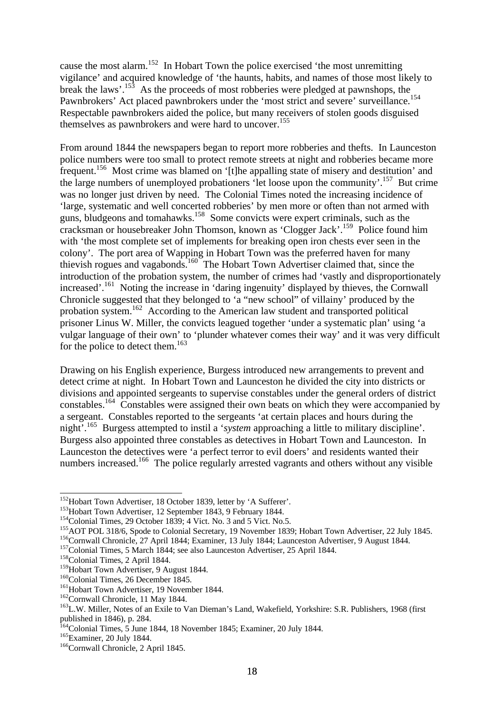cause the most alarm.<sup>152</sup> In Hobart Town the police exercised 'the most unremitting vigilance' and acquired knowledge of 'the haunts, habits, and names of those most likely to break the laws'.<sup>153</sup> As the proceeds of most robberies were pledged at pawnshops, the Pawnbrokers' Act placed pawnbrokers under the 'most strict and severe' surveillance.<sup>154</sup> Respectable pawnbrokers aided the police, but many receivers of stolen goods disguised themselves as pawnbrokers and were hard to uncover.<sup>155</sup>

From around 1844 the newspapers began to report more robberies and thefts. In Launceston police numbers were too small to protect remote streets at night and robberies became more frequent.<sup>156</sup> Most crime was blamed on '[t]he appalling state of misery and destitution' and the large numbers of unemployed probationers 'let loose upon the community'.<sup>157</sup> But crime was no longer just driven by need. The Colonial Times noted the increasing incidence of 'large, systematic and well concerted robberies' by men more or often than not armed with guns, bludgeons and tomahawks.<sup>158</sup> Some convicts were expert criminals, such as the cracksman or housebreaker John Thomson, known as 'Clogger Jack'.<sup>159</sup> Police found him with 'the most complete set of implements for breaking open iron chests ever seen in the colony'. The port area of Wapping in Hobart Town was the preferred haven for many thievish rogues and vagabonds.<sup>160</sup> The Hobart Town Advertiser claimed that, since the introduction of the probation system, the number of crimes had 'vastly and disproportionately increased'.<sup>161</sup> Noting the increase in 'daring ingenuity' displayed by thieves, the Cornwall Chronicle suggested that they belonged to 'a "new school" of villainy' produced by the probation system.<sup>162</sup> According to the American law student and transported political prisoner Linus W. Miller, the convicts leagued together 'under a systematic plan' using 'a vulgar language of their own' to 'plunder whatever comes their way' and it was very difficult for the police to detect them.<sup>163</sup>

Drawing on his English experience, Burgess introduced new arrangements to prevent and detect crime at night. In Hobart Town and Launceston he divided the city into districts or divisions and appointed sergeants to supervise constables under the general orders of district constables.<sup>164</sup> Constables were assigned their own beats on which they were accompanied by a sergeant. Constables reported to the sergeants 'at certain places and hours during the night'.<sup>165</sup> Burgess attempted to instil a '*system* approaching a little to military discipline'. Burgess also appointed three constables as detectives in Hobart Town and Launceston. In Launceston the detectives were 'a perfect terror to evil doers' and residents wanted their numbers increased.<sup>166</sup> The police regularly arrested vagrants and others without any visible

<sup>&</sup>lt;sup>152</sup>Hobart Town Advertiser, 18 October 1839, letter by 'A Sufferer'.

<sup>&</sup>lt;sup>153</sup>Hobart Town Advertiser, 12 September 1843, 9 February 1844.

<sup>&</sup>lt;sup>154</sup>Colonial Times, 29 October 1839; 4 Vict. No. 3 and 5 Vict. No. 5.

<sup>155</sup>AOT POL 318/6, Spode to Colonial Secretary, 19 November 1839; Hobart Town Advertiser, 22 July 1845.

<sup>156</sup>Cornwall Chronicle, 27 April 1844; Examiner, 13 July 1844; Launceston Advertiser, 9 August 1844.

<sup>&</sup>lt;sup>157</sup>Colonial Times, 5 March 1844; see also Launceston Advertiser, 25 April 1844.

<sup>&</sup>lt;sup>158</sup>Colonial Times, 2 April 1844.

<sup>&</sup>lt;sup>159</sup>Hobart Town Advertiser, 9 August 1844.

<sup>&</sup>lt;sup>160</sup>Colonial Times, 26 December 1845.

<sup>&</sup>lt;sup>161</sup>Hobart Town Advertiser, 19 November 1844.

<sup>&</sup>lt;sup>162</sup>Cornwall Chronicle, 11 May 1844.

<sup>&</sup>lt;sup>163</sup>L.W. Miller, Notes of an Exile to Van Dieman's Land, Wakefield, Yorkshire: S.R. Publishers, 1968 (first published in 1846), p. 284.

<sup>&</sup>lt;sup>164</sup>Colonial Times, 5 June 1844, 18 November 1845; Examiner, 20 July 1844.

<sup>165</sup>Examiner, 20 July 1844.

<sup>&</sup>lt;sup>166</sup>Cornwall Chronicle, 2 April 1845.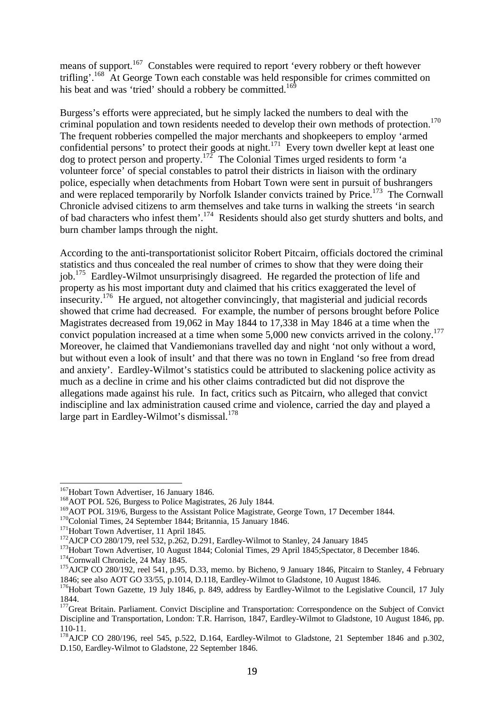means of support.<sup>167</sup> Constables were required to report 'every robbery or theft however trifling'.<sup>168</sup> At George Town each constable was held responsible for crimes committed on his beat and was 'tried' should a robbery be committed.<sup>169</sup>

Burgess's efforts were appreciated, but he simply lacked the numbers to deal with the criminal population and town residents needed to develop their own methods of protection.<sup>170</sup> The frequent robberies compelled the major merchants and shopkeepers to employ 'armed confidential persons' to protect their goods at night.<sup>171</sup> Every town dweller kept at least one dog to protect person and property.<sup>172</sup> The Colonial Times urged residents to form 'a volunteer force' of special constables to patrol their districts in liaison with the ordinary police, especially when detachments from Hobart Town were sent in pursuit of bushrangers and were replaced temporarily by Norfolk Islander convicts trained by Price.<sup>173</sup> The Cornwall Chronicle advised citizens to arm themselves and take turns in walking the streets 'in search of bad characters who infest them'.<sup>174</sup> Residents should also get sturdy shutters and bolts, and burn chamber lamps through the night.

According to the anti-transportationist solicitor Robert Pitcairn, officials doctored the criminal statistics and thus concealed the real number of crimes to show that they were doing their job.<sup>175</sup> Eardley-Wilmot unsurprisingly disagreed. He regarded the protection of life and property as his most important duty and claimed that his critics exaggerated the level of insecurity.<sup>176</sup> He argued, not altogether convincingly, that magisterial and judicial records showed that crime had decreased. For example, the number of persons brought before Police Magistrates decreased from 19,062 in May 1844 to 17,338 in May 1846 at a time when the convict population increased at a time when some 5,000 new convicts arrived in the colony.<sup>177</sup> Moreover, he claimed that Vandiemonians travelled day and night 'not only without a word, but without even a look of insult' and that there was no town in England 'so free from dread and anxiety'. Eardley-Wilmot's statistics could be attributed to slackening police activity as much as a decline in crime and his other claims contradicted but did not disprove the allegations made against his rule. In fact, critics such as Pitcairn, who alleged that convict indiscipline and lax administration caused crime and violence, carried the day and played a large part in Eardley-Wilmot's dismissal.<sup>178</sup>

<sup>-</sup><sup>167</sup>Hobart Town Advertiser, 16 January 1846.

<sup>&</sup>lt;sup>168</sup>AOT POL 526, Burgess to Police Magistrates, 26 July 1844.

<sup>&</sup>lt;sup>169</sup>AOT POL 319/6, Burgess to the Assistant Police Magistrate, George Town, 17 December 1844.

<sup>&</sup>lt;sup>170</sup>Colonial Times, 24 September 1844; Britannia, 15 January 1846.

<sup>&</sup>lt;sup>171</sup>Hobart Town Advertiser, 11 April 1845.

 $172$  AJCP CO 280/179, reel 532, p.262, D.291, Eardley-Wilmot to Stanley, 24 January 1845

<sup>&</sup>lt;sup>173</sup>Hobart Town Advertiser, 10 August 1844; Colonial Times, 29 April 1845; Spectator, 8 December 1846.

<sup>&</sup>lt;sup>174</sup>Cornwall Chronicle, 24 May 1845.

<sup>&</sup>lt;sup>175</sup>AJCP CO 280/192, reel 541, p.95, D.33, memo. by Bicheno, 9 January 1846, Pitcairn to Stanley, 4 February 1846; see also AOT GO 33/55, p.1014, D.118, Eardley-Wilmot to Gladstone, 10 August 1846.

<sup>&</sup>lt;sup>176</sup>Hobart Town Gazette, 19 July 1846, p. 849, address by Eardley-Wilmot to the Legislative Council, 17 July 1844.

<sup>&</sup>lt;sup>177</sup>Great Britain. Parliament. Convict Discipline and Transportation: Correspondence on the Subject of Convict Discipline and Transportation, London: T.R. Harrison, 1847, Eardley-Wilmot to Gladstone, 10 August 1846, pp.  $110 - 11$ .

<sup>&</sup>lt;sup>178</sup>AJCP CO 280/196, reel 545, p.522, D.164, Eardley-Wilmot to Gladstone, 21 September 1846 and p.302, D.150, Eardley-Wilmot to Gladstone, 22 September 1846.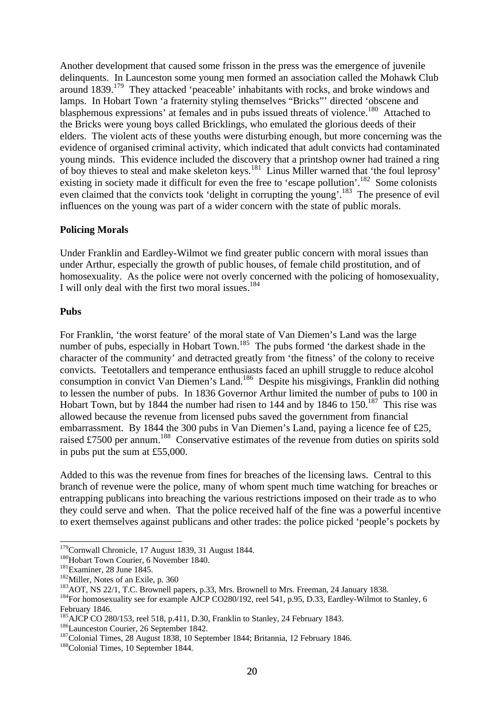Another development that caused some frisson in the press was the emergence of juvenile delinquents. In Launceston some young men formed an association called the Mohawk Club around  $1839$ <sup>179</sup>. They attacked 'peaceable' inhabitants with rocks, and broke windows and lamps. In Hobart Town 'a fraternity styling themselves "Bricks"' directed 'obscene and blasphemous expressions' at females and in pubs issued threats of violence.<sup>180</sup> Attached to the Bricks were young boys called Bricklings, who emulated the glorious deeds of their elders. The violent acts of these youths were disturbing enough, but more concerning was the evidence of organised criminal activity, which indicated that adult convicts had contaminated young minds. This evidence included the discovery that a printshop owner had trained a ring of boy thieves to steal and make skeleton keys.<sup>181</sup> Linus Miller warned that 'the foul leprosy' existing in society made it difficult for even the free to 'escape pollution'.<sup>182</sup> Some colonists even claimed that the convicts took 'delight in corrupting the young'.<sup>183</sup> The presence of evil influences on the young was part of a wider concern with the state of public morals.

### **Policing Morals**

Under Franklin and Eardley-Wilmot we find greater public concern with moral issues than under Arthur, especially the growth of public houses, of female child prostitution, and of homosexuality. As the police were not overly concerned with the policing of homosexuality, I will only deal with the first two moral issues.<sup>184</sup>

#### **Pubs**

For Franklin, 'the worst feature' of the moral state of Van Diemen's Land was the large number of pubs, especially in Hobart Town.<sup>185</sup> The pubs formed 'the darkest shade in the character of the community' and detracted greatly from 'the fitness' of the colony to receive convicts. Teetotallers and temperance enthusiasts faced an uphill struggle to reduce alcohol consumption in convict Van Diemen's Land.<sup>186</sup> Despite his misgivings, Franklin did nothing to lessen the number of pubs. In 1836 Governor Arthur limited the number of pubs to 100 in Hobart Town, but by 1844 the number had risen to 144 and by 1846 to 150.<sup>187</sup> This rise was allowed because the revenue from licensed pubs saved the government from financial embarrassment. By 1844 the 300 pubs in Van Diemen's Land, paying a licence fee of £25, raised £7500 per annum.<sup>188</sup> Conservative estimates of the revenue from duties on spirits sold in pubs put the sum at £55,000.

Added to this was the revenue from fines for breaches of the licensing laws. Central to this branch of revenue were the police, many of whom spent much time watching for breaches or entrapping publicans into breaching the various restrictions imposed on their trade as to who they could serve and when. That the police received half of the fine was a powerful incentive to exert themselves against publicans and other trades: the police picked 'people's pockets by

<sup>-</sup><sup>179</sup>Cornwall Chronicle, 17 August 1839, 31 August 1844.

<sup>&</sup>lt;sup>180</sup>Hobart Town Courier, 6 November 1840.

<sup>181</sup>Examiner, 28 June 1845.

<sup>&</sup>lt;sup>182</sup>Miller, Notes of an Exile, p. 360

<sup>&</sup>lt;sup>183</sup>AOT, NS 22/1, T.C. Brownell papers, p.33, Mrs. Brownell to Mrs. Freeman, 24 January 1838.

<sup>&</sup>lt;sup>184</sup>For homosexuality see for example AJCP CO280/192, reel 541, p.95, D.33, Eardley-Wilmot to Stanley, 6 February 1846.

<sup>&</sup>lt;sup>185</sup>AJCP CO 280/153, reel 518, p.411, D.30, Franklin to Stanley, 24 February 1843.

<sup>186</sup>Launceston Courier, 26 September 1842.

<sup>&</sup>lt;sup>187</sup>Colonial Times, 28 August 1838, 10 September 1844; Britannia, 12 February 1846.

<sup>188</sup>Colonial Times, 10 September 1844.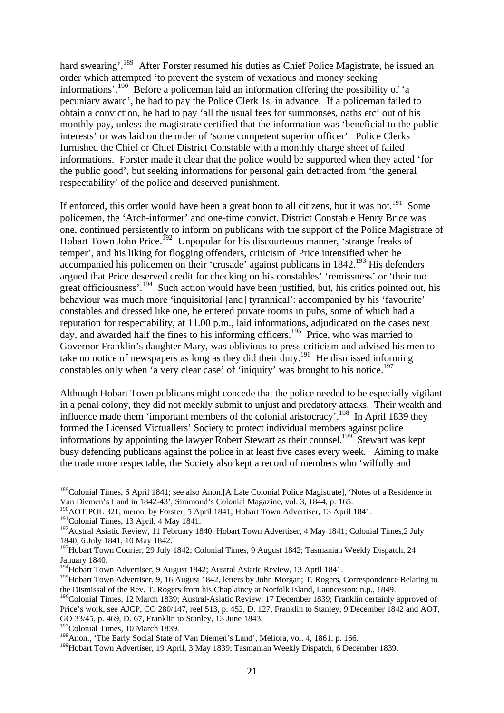hard swearing'.<sup>189</sup> After Forster resumed his duties as Chief Police Magistrate, he issued an order which attempted 'to prevent the system of vexatious and money seeking informations'.<sup>190</sup> Before a policeman laid an information offering the possibility of 'a pecuniary award', he had to pay the Police Clerk 1s. in advance. If a policeman failed to obtain a conviction, he had to pay 'all the usual fees for summonses, oaths etc' out of his monthly pay, unless the magistrate certified that the information was 'beneficial to the public interests' or was laid on the order of 'some competent superior officer'. Police Clerks furnished the Chief or Chief District Constable with a monthly charge sheet of failed informations. Forster made it clear that the police would be supported when they acted 'for the public good', but seeking informations for personal gain detracted from 'the general respectability' of the police and deserved punishment.

If enforced, this order would have been a great boon to all citizens, but it was not.<sup>191</sup> Some policemen, the 'Arch-informer' and one-time convict, District Constable Henry Brice was one, continued persistently to inform on publicans with the support of the Police Magistrate of Hobart Town John Price.<sup>192</sup> Unpopular for his discourteous manner, 'strange freaks of temper', and his liking for flogging offenders, criticism of Price intensified when he accompanied his policemen on their 'crusade' against publicans in 1842.<sup>193</sup> His defenders argued that Price deserved credit for checking on his constables' 'remissness' or 'their too great officiousness'.<sup>194</sup> Such action would have been justified, but, his critics pointed out, his behaviour was much more 'inquisitorial [and] tyrannical': accompanied by his 'favourite' constables and dressed like one, he entered private rooms in pubs, some of which had a reputation for respectability, at 11.00 p.m., laid informations, adjudicated on the cases next day, and awarded half the fines to his informing officers.<sup>195</sup> Price, who was married to Governor Franklin's daughter Mary, was oblivious to press criticism and advised his men to take no notice of newspapers as long as they did their duty.<sup>196</sup> He dismissed informing constables only when 'a very clear case' of 'iniquity' was brought to his notice.<sup>197</sup>

Although Hobart Town publicans might concede that the police needed to be especially vigilant in a penal colony, they did not meekly submit to unjust and predatory attacks. Their wealth and influence made them 'important members of the colonial aristocracy'.<sup>198</sup> In April 1839 they formed the Licensed Victuallers' Society to protect individual members against police informations by appointing the lawyer Robert Stewart as their counsel.<sup>199</sup> Stewart was kept busy defending publicans against the police in at least five cases every week. Aiming to make the trade more respectable, the Society also kept a record of members who 'wilfully and

-

<sup>197</sup>Colonial Times, 10 March 1839.

<sup>&</sup>lt;sup>189</sup>Colonial Times, 6 April 1841; see also Anon.[A Late Colonial Police Magistrate], 'Notes of a Residence in Van Diemen's Land in 1842-43', Simmond's Colonial Magazine, vol. 3, 1844, p. 165.

<sup>&</sup>lt;sup>190</sup>AOT POL 321, memo. by Forster, 5 April 1841; Hobart Town Advertiser, 13 April 1841.

<sup>&</sup>lt;sup>191</sup>Colonial Times, 13 April, 4 May 1841.

<sup>&</sup>lt;sup>192</sup>Austral Asiatic Review, 11 February 1840; Hobart Town Advertiser, 4 May 1841; Colonial Times, 2 July 1840, 6 July 1841, 10 May 1842.

<sup>&</sup>lt;sup>193</sup>Hobart Town Courier, 29 July 1842; Colonial Times, 9 August 1842; Tasmanian Weekly Dispatch, 24 January 1840.

<sup>&</sup>lt;sup>194</sup>Hobart Town Advertiser, 9 August 1842; Austral Asiatic Review, 13 April 1841.

<sup>&</sup>lt;sup>195</sup>Hobart Town Advertiser, 9, 16 August 1842, letters by John Morgan; T. Rogers, Correspondence Relating to the Dismissal of the Rev. T. Rogers from his Chaplaincy at Norfolk Island, Launceston: n.p., 1849.

<sup>&</sup>lt;sup>196</sup>Colonial Times, 12 March 1839; Austral-Asiatic Review, 17 December 1839; Franklin certainly approved of Price's work, see AJCP, CO 280/147, reel 513, p. 452, D. 127, Franklin to Stanley, 9 December 1842 and AOT, GO 33/45, p. 469, D. 67, Franklin to Stanley, 13 June 1843.

<sup>&</sup>lt;sup>198</sup>Anon., 'The Early Social State of Van Diemen's Land', Meliora, vol. 4, 1861, p. 166.

<sup>&</sup>lt;sup>199</sup>Hobart Town Advertiser, 19 April, 3 May 1839; Tasmanian Weekly Dispatch, 6 December 1839.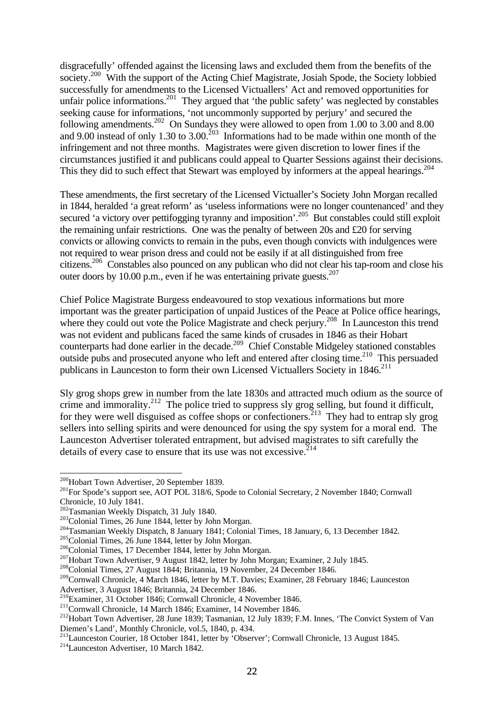disgracefully' offended against the licensing laws and excluded them from the benefits of the society.<sup>200</sup> With the support of the Acting Chief Magistrate, Josiah Spode, the Society lobbied successfully for amendments to the Licensed Victuallers' Act and removed opportunities for unfair police informations.<sup>201</sup> They argued that 'the public safety' was neglected by constables seeking cause for informations, 'not uncommonly supported by perjury' and secured the following amendments.<sup>202</sup> On Sundays they were allowed to open from 1.00 to 3.00 and 8.00 and 9.00 instead of only 1.30 to 3.00.<sup>203</sup> Informations had to be made within one month of the infringement and not three months. Magistrates were given discretion to lower fines if the circumstances justified it and publicans could appeal to Quarter Sessions against their decisions. This they did to such effect that Stewart was employed by informers at the appeal hearings.<sup>204</sup>

These amendments, the first secretary of the Licensed Victualler's Society John Morgan recalled in 1844, heralded 'a great reform' as 'useless informations were no longer countenanced' and they secured 'a victory over pettifogging tyranny and imposition'.<sup>205</sup> But constables could still exploit the remaining unfair restrictions. One was the penalty of between 20s and £20 for serving convicts or allowing convicts to remain in the pubs, even though convicts with indulgences were not required to wear prison dress and could not be easily if at all distinguished from free citizens.<sup>206</sup> Constables also pounced on any publican who did not clear his tap-room and close his outer doors by 10.00 p.m., even if he was entertaining private guests.<sup>207</sup>

Chief Police Magistrate Burgess endeavoured to stop vexatious informations but more important was the greater participation of unpaid Justices of the Peace at Police office hearings, where they could out vote the Police Magistrate and check perjury.<sup>208</sup> In Launceston this trend was not evident and publicans faced the same kinds of crusades in 1846 as their Hobart counterparts had done earlier in the decade.<sup>209</sup> Chief Constable Midgeley stationed constables outside pubs and prosecuted anyone who left and entered after closing time.<sup>210</sup> This persuaded publicans in Launceston to form their own Licensed Victuallers Society in 1846.<sup>211</sup>

Sly grog shops grew in number from the late 1830s and attracted much odium as the source of crime and immorality. $^{212}$  The police tried to suppress sly grog selling, but found it difficult, for they were well disguised as coffee shops or confectioners.<sup>213</sup> They had to entrap sly grog sellers into selling spirits and were denounced for using the spy system for a moral end. The Launceston Advertiser tolerated entrapment, but advised magistrates to sift carefully the details of every case to ensure that its use was not excessive.  $2^{14}$ 

<sup>&</sup>lt;sup>200</sup>Hobart Town Advertiser, 20 September 1839.

<sup>&</sup>lt;sup>201</sup>For Spode's support see, AOT POL 318/6, Spode to Colonial Secretary, 2 November 1840; Cornwall Chronicle, 10 July 1841.

<sup>&</sup>lt;sup>202</sup>Tasmanian Weekly Dispatch, 31 July 1840.

<sup>203</sup>Colonial Times, 26 June 1844, letter by John Morgan.

<sup>204</sup>Tasmanian Weekly Dispatch, 8 January 1841; Colonial Times, 18 January, 6, 13 December 1842.

<sup>205</sup>Colonial Times, 26 June 1844, letter by John Morgan.

<sup>206</sup>Colonial Times, 17 December 1844, letter by John Morgan.

<sup>&</sup>lt;sup>207</sup>Hobart Town Advertiser, 9 August 1842, letter by John Morgan; Examiner, 2 July 1845.

<sup>208</sup>Colonial Times, 27 August 1844; Britannia, 19 November, 24 December 1846.

<sup>&</sup>lt;sup>209</sup>Cornwall Chronicle, 4 March 1846, letter by M.T. Davies; Examiner, 28 February 1846; Launceston Advertiser, 3 August 1846; Britannia, 24 December 1846.

<sup>210</sup>Examiner, 31 October 1846; Cornwall Chronicle, 4 November 1846.

<sup>&</sup>lt;sup>211</sup>Cornwall Chronicle, 14 March 1846; Examiner, 14 November 1846.

<sup>212</sup>Hobart Town Advertiser, 28 June 1839; Tasmanian, 12 July 1839; F.M. Innes, 'The Convict System of Van Diemen's Land', Monthly Chronicle, vol.5, 1840, p. 434.

<sup>&</sup>lt;sup>213</sup>Launceston Courier, 18 October 1841, letter by 'Observer'; Cornwall Chronicle, 13 August 1845.

<sup>214</sup>Launceston Advertiser, 10 March 1842.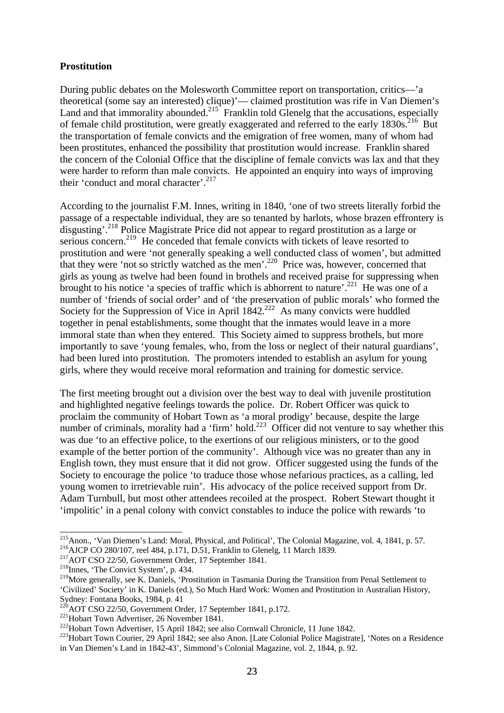### **Prostitution**

During public debates on the Molesworth Committee report on transportation, critics—'a theoretical (some say an interested) clique)'— claimed prostitution was rife in Van Diemen's Land and that immorality abounded.<sup>215</sup> Franklin told Glenelg that the accusations, especially of female child prostitution, were greatly exaggerated and referred to the early  $1830s$ <sup>216</sup> But the transportation of female convicts and the emigration of free women, many of whom had been prostitutes, enhanced the possibility that prostitution would increase. Franklin shared the concern of the Colonial Office that the discipline of female convicts was lax and that they were harder to reform than male convicts. He appointed an enquiry into ways of improving their 'conduct and moral character'.<sup>217</sup>

According to the journalist F.M. Innes, writing in 1840, 'one of two streets literally forbid the passage of a respectable individual, they are so tenanted by harlots, whose brazen effrontery is disgusting'.<sup>218</sup> Police Magistrate Price did not appear to regard prostitution as a large or serious concern.<sup>219</sup> He conceded that female convicts with tickets of leave resorted to prostitution and were 'not generally speaking a well conducted class of women', but admitted that they were 'not so strictly watched as the men'.<sup>220</sup> Price was, however, concerned that girls as young as twelve had been found in brothels and received praise for suppressing when brought to his notice 'a species of traffic which is abhorrent to nature'.<sup>221</sup> He was one of a number of 'friends of social order' and of 'the preservation of public morals' who formed the Society for the Suppression of Vice in April  $1842$ <sup>222</sup> As many convicts were huddled together in penal establishments, some thought that the inmates would leave in a more immoral state than when they entered. This Society aimed to suppress brothels, but more importantly to save 'young females, who, from the loss or neglect of their natural guardians', had been lured into prostitution. The promoters intended to establish an asylum for young girls, where they would receive moral reformation and training for domestic service.

The first meeting brought out a division over the best way to deal with juvenile prostitution and highlighted negative feelings towards the police. Dr. Robert Officer was quick to proclaim the community of Hobart Town as 'a moral prodigy' because, despite the large number of criminals, morality had a 'firm' hold.<sup>223</sup> Officer did not venture to say whether this was due 'to an effective police, to the exertions of our religious ministers, or to the good example of the better portion of the community'. Although vice was no greater than any in English town, they must ensure that it did not grow. Officer suggested using the funds of the Society to encourage the police 'to traduce those whose nefarious practices, as a calling, led young women to irretrievable ruin'. His advocacy of the police received support from Dr. Adam Turnbull, but most other attendees recoiled at the prospect. Robert Stewart thought it 'impolitic' in a penal colony with convict constables to induce the police with rewards 'to

l <sup>215</sup> Anon., 'Van Diemen's Land: Moral, Physical, and Political', The Colonial Magazine, vol. 4, 1841, p. 57. <sup>216</sup>AJCP CO 280/107, reel 484, p.171, D.51, Franklin to Glenelg, 11 March 1839.

<sup>217</sup>AOT CSO 22/50, Government Order, 17 September 1841.

<sup>218</sup>Innes, 'The Convict System', p. 434.

<sup>&</sup>lt;sup>219</sup>More generally, see K. Daniels, 'Prostitution in Tasmania During the Transition from Penal Settlement to 'Civilized' Society' in K. Daniels (ed.), So Much Hard Work: Women and Prostitution in Australian History, Sydney: Fontana Books, 1984, p. 41

<sup>&</sup>lt;sup>220</sup>AOT CSO 22/50, Government Order, 17 September 1841, p.172.

<sup>&</sup>lt;sup>221</sup>Hobart Town Advertiser, 26 November 1841.

<sup>&</sup>lt;sup>222</sup>Hobart Town Advertiser, 15 April 1842; see also Cornwall Chronicle, 11 June 1842.

<sup>&</sup>lt;sup>223</sup>Hobart Town Courier, 29 April 1842; see also Anon. [Late Colonial Police Magistrate], 'Notes on a Residence in Van Diemen's Land in 1842-43', Simmond's Colonial Magazine, vol. 2, 1844, p. 92.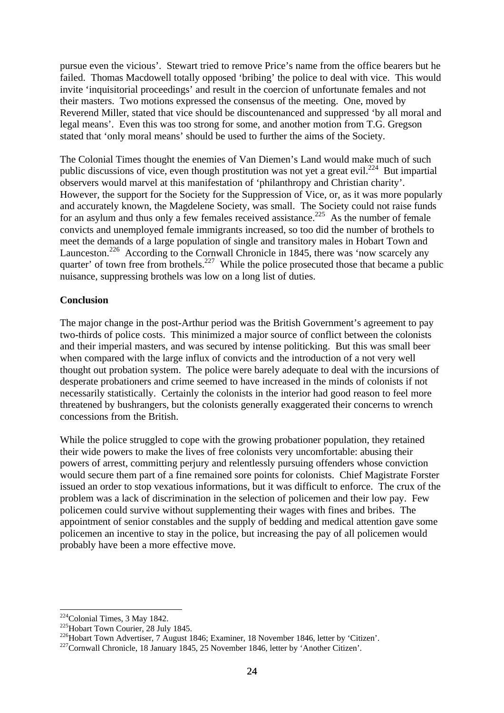pursue even the vicious'. Stewart tried to remove Price's name from the office bearers but he failed. Thomas Macdowell totally opposed 'bribing' the police to deal with vice. This would invite 'inquisitorial proceedings' and result in the coercion of unfortunate females and not their masters. Two motions expressed the consensus of the meeting. One, moved by Reverend Miller, stated that vice should be discountenanced and suppressed 'by all moral and legal means'. Even this was too strong for some, and another motion from T.G. Gregson stated that 'only moral means' should be used to further the aims of the Society.

The Colonial Times thought the enemies of Van Diemen's Land would make much of such public discussions of vice, even though prostitution was not yet a great evil.<sup>224</sup> But impartial observers would marvel at this manifestation of 'philanthropy and Christian charity'. However, the support for the Society for the Suppression of Vice, or, as it was more popularly and accurately known, the Magdelene Society, was small. The Society could not raise funds for an asylum and thus only a few females received assistance.<sup>225</sup> As the number of female convicts and unemployed female immigrants increased, so too did the number of brothels to meet the demands of a large population of single and transitory males in Hobart Town and Launceston.<sup>226</sup> According to the Cornwall Chronicle in 1845, there was 'now scarcely any quarter' of town free from brothels.<sup>227</sup> While the police prosecuted those that became a public nuisance, suppressing brothels was low on a long list of duties.

### **Conclusion**

The major change in the post-Arthur period was the British Government's agreement to pay two-thirds of police costs. This minimized a major source of conflict between the colonists and their imperial masters, and was secured by intense politicking. But this was small beer when compared with the large influx of convicts and the introduction of a not very well thought out probation system. The police were barely adequate to deal with the incursions of desperate probationers and crime seemed to have increased in the minds of colonists if not necessarily statistically. Certainly the colonists in the interior had good reason to feel more threatened by bushrangers, but the colonists generally exaggerated their concerns to wrench concessions from the British.

While the police struggled to cope with the growing probationer population, they retained their wide powers to make the lives of free colonists very uncomfortable: abusing their powers of arrest, committing perjury and relentlessly pursuing offenders whose conviction would secure them part of a fine remained sore points for colonists. Chief Magistrate Forster issued an order to stop vexatious informations, but it was difficult to enforce. The crux of the problem was a lack of discrimination in the selection of policemen and their low pay. Few policemen could survive without supplementing their wages with fines and bribes. The appointment of senior constables and the supply of bedding and medical attention gave some policemen an incentive to stay in the police, but increasing the pay of all policemen would probably have been a more effective move.

 $224$ Colonial Times, 3 May 1842.

<sup>&</sup>lt;sup>225</sup>Hobart Town Courier, 28 July 1845.

<sup>226</sup>Hobart Town Advertiser, 7 August 1846; Examiner, 18 November 1846, letter by 'Citizen'.

<sup>227</sup>Cornwall Chronicle, 18 January 1845, 25 November 1846, letter by 'Another Citizen'.